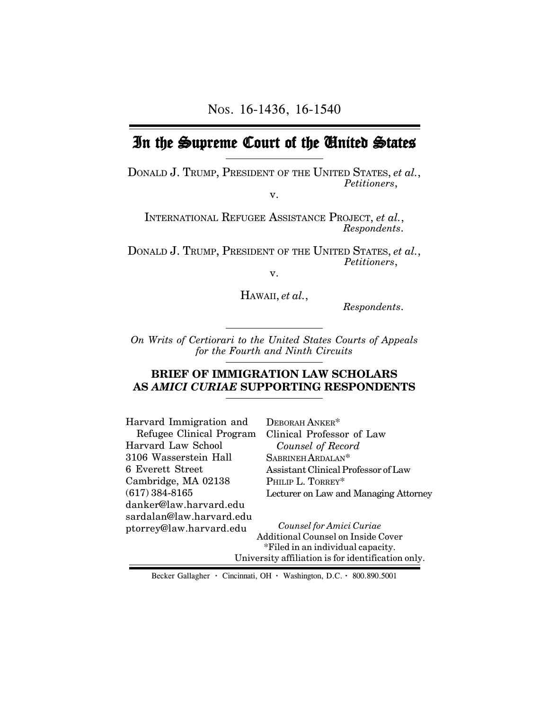# In the Supreme Court of the United States

DONALD J. TRUMP, PRESIDENT OF THE UNITED STATES, *et al.*, *Petitioners*,

v.

INTERNATIONAL REFUGEE ASSISTANCE PROJECT, *et al.*, *Respondents*.

DONALD J. TRUMP, PRESIDENT OF THE UNITED STATES, *et al.*, *Petitioners*,

v.

HAWAII, *et al.*,

 *Respondents*.

*On Writs of Certiorari to the United States Courts of Appeals for the Fourth and Ninth Circuits*

#### **BRIEF OF IMMIGRATION LAW SCHOLARS AS** *AMICI CURIAE* **SUPPORTING RESPONDENTS**

| Harvard Immigration and  | DEBORAH ANKER*                                     |
|--------------------------|----------------------------------------------------|
| Refugee Clinical Program | Clinical Professor of Law                          |
| Harvard Law School       | Counsel of Record                                  |
| 3106 Wasserstein Hall    | SABRINEH ARDALAN <sup>*</sup>                      |
| 6 Everett Street         | Assistant Clinical Professor of Law                |
| Cambridge, MA 02138      | PHILIP L. TORREY*                                  |
| $(617)$ 384-8165         | Lecturer on Law and Managing Attorney              |
| danker@law.harvard.edu   |                                                    |
| sardalan@law.harvard.edu |                                                    |
| ptorrey@law.harvard.edu  | Counsel for Amici Curiae                           |
|                          | Additional Counsel on Inside Cover                 |
|                          | *Filed in an individual capacity.                  |
|                          | University affiliation is for identification only. |

Becker Gallagher **·** Cincinnati, OH **·** Washington, D.C. **·** 800.890.5001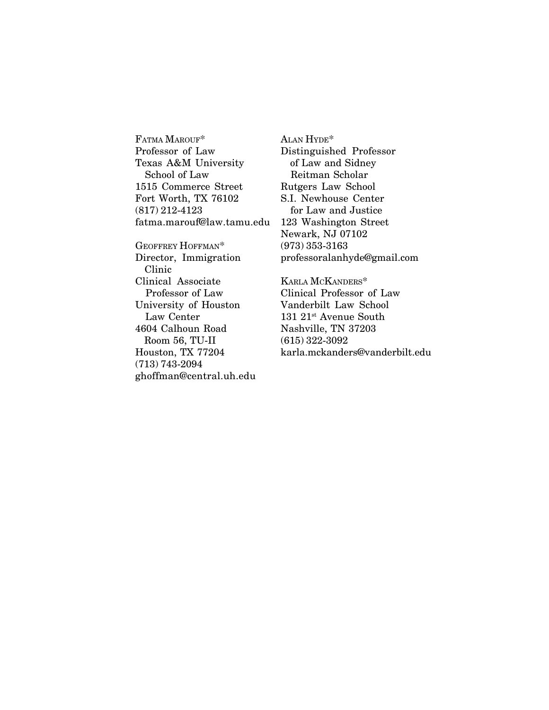FATMA MAROUF\* Professor of Law Texas A&M University School of Law 1515 Commerce Street Fort Worth, TX 76102 (817) 212-4123 fatma.marouf@law.tamu.edu

GEOFFREY HOFFMAN\* Director, Immigration Clinic Clinical Associate Professor of Law University of Houston Law Center 4604 Calhoun Road Room 56, TU-II Houston, TX 77204 (713) 743-2094 ghoffman@central.uh.edu

ALAN HYDE\* Distinguished Professor of Law and Sidney Reitman Scholar Rutgers Law School S.I. Newhouse Center for Law and Justice 123 Washington Street Newark, NJ 07102 (973) 353-3163 professoralanhyde@gmail.com

KARLA MCKANDERS\* Clinical Professor of Law Vanderbilt Law School 131 21<sup>st</sup> Avenue South Nashville, TN 37203 (615) 322-3092 karla.mckanders@vanderbilt.edu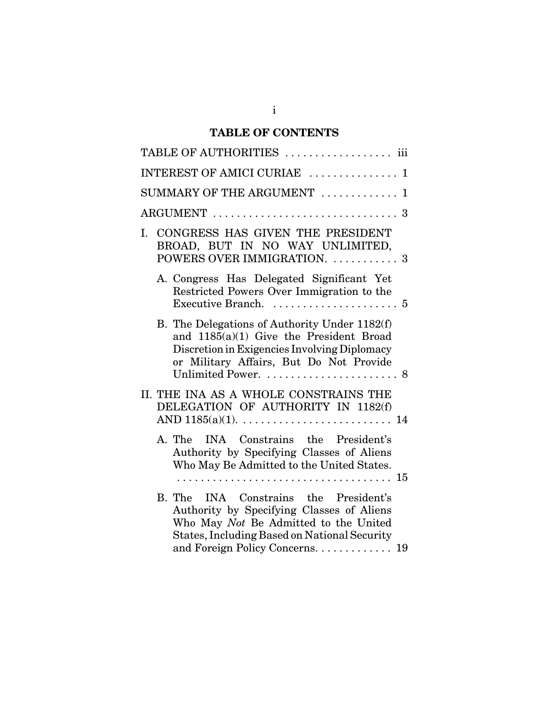# **TABLE OF CONTENTS**

| TABLE OF AUTHORITIES  iii                                                                                                                                                           |
|-------------------------------------------------------------------------------------------------------------------------------------------------------------------------------------|
| INTEREST OF AMICI CURIAE  1                                                                                                                                                         |
| SUMMARY OF THE ARGUMENT<br>$\mathbf{1}$                                                                                                                                             |
| ARGUMENT                                                                                                                                                                            |
| CONGRESS HAS GIVEN THE PRESIDENT<br>I.<br>BROAD, BUT IN NO WAY UNLIMITED,<br>POWERS OVER IMMIGRATION.  3                                                                            |
| A. Congress Has Delegated Significant Yet<br>Restricted Powers Over Immigration to the                                                                                              |
| B. The Delegations of Authority Under 1182(f)<br>and 1185(a)(1) Give the President Broad<br>Discretion in Exigencies Involving Diplomacy<br>or Military Affairs, But Do Not Provide |
| II. THE INA AS A WHOLE CONSTRAINS THE<br>DELEGATION OF AUTHORITY IN 1182(f)                                                                                                         |
| INA Constrains the President's<br>A. The<br>Authority by Specifying Classes of Aliens<br>Who May Be Admitted to the United States.                                                  |
| INA Constrains the President's<br>B. The<br>Authority by Specifying Classes of Aliens<br>Who May Not Be Admitted to the United<br>States, Including Based on National Security      |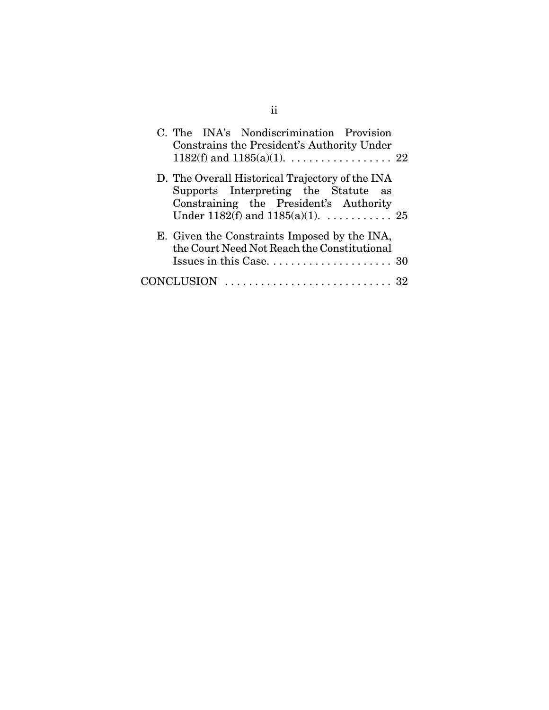| C. The INA's Nondiscrimination Provision<br>Constrains the President's Authority Under                                                                                                          |  |
|-------------------------------------------------------------------------------------------------------------------------------------------------------------------------------------------------|--|
| D. The Overall Historical Trajectory of the INA<br>Supports Interpreting the Statute as<br>Constraining the President's Authority<br>Under 1182(f) and 1185(a)(1). $\dots \dots \dots \dots 25$ |  |
| E. Given the Constraints Imposed by the INA,<br>the Court Need Not Reach the Constitutional                                                                                                     |  |
| CONCLUSION                                                                                                                                                                                      |  |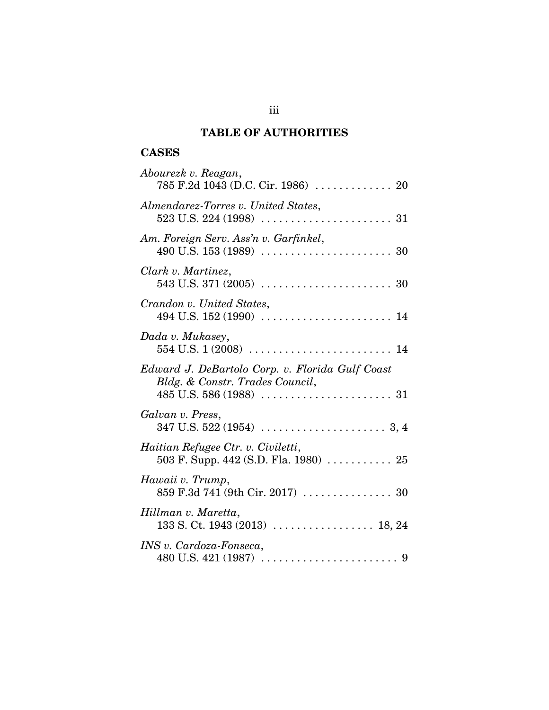# **TABLE OF AUTHORITIES**

# **CASES**

| Abourezk v. Reagan,<br>785 F.2d 1043 (D.C. Cir. 1986)  20                                                |
|----------------------------------------------------------------------------------------------------------|
| Almendarez-Torres v. United States,                                                                      |
| Am. Foreign Serv. Ass'n v. Garfinkel,                                                                    |
| Clark v. Martinez,                                                                                       |
| Crandon v. United States,                                                                                |
| Dada v. Mukasey,                                                                                         |
| Edward J. DeBartolo Corp. v. Florida Gulf Coast<br>Bldg. & Constr. Trades Council,                       |
| Galvan v. Press,                                                                                         |
| Haitian Refugee Ctr. v. Civiletti,<br>503 F. Supp. 442 (S.D. Fla. 1980) $\ldots \ldots \ldots \ldots 25$ |
| Hawaii v. Trump,<br>859 F.3d 741 (9th Cir. 2017)  30                                                     |
| Hillman v. Maretta,                                                                                      |
| INS v. Cardoza-Fonseca,                                                                                  |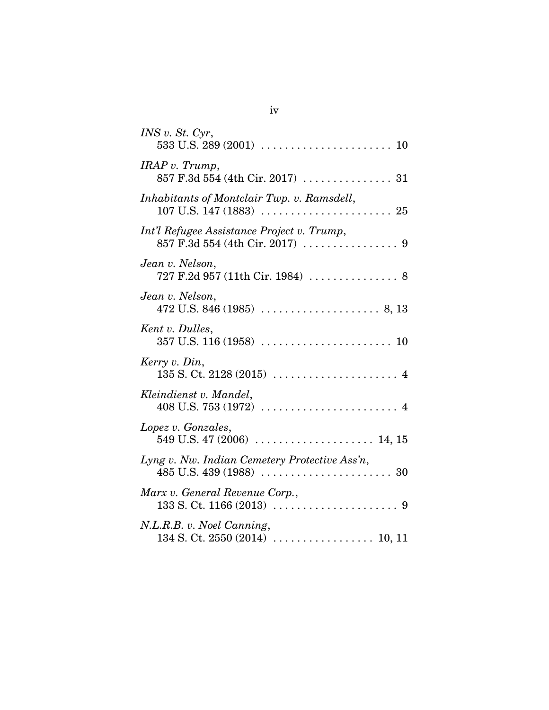| INS v. St. Cyr,                                     |
|-----------------------------------------------------|
|                                                     |
| IRAP v. Trump,                                      |
| Inhabitants of Montclair Twp. v. Ramsdell,          |
| Int'l Refugee Assistance Project v. Trump,          |
| Jean v. Nelson,<br>727 F.2d 957 (11th Cir. 1984)  8 |
| Jean v. Nelson,                                     |
| Kent v. Dulles,                                     |
| Kerry v. Din,                                       |
| Kleindienst v. Mandel,                              |
| Lopez v. Gonzales,                                  |
| Lyng v. Nw. Indian Cemetery Protective Ass'n,       |
| Marx v. General Revenue Corp.,                      |
| N.L.R.B. v. Noel Canning,                           |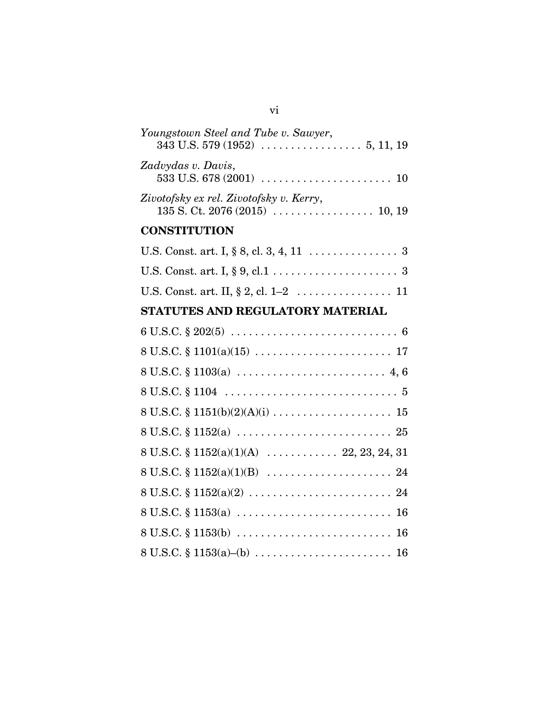| Youngstown Steel and Tube v. Sawyer,    |
|-----------------------------------------|
| Zadvydas v. Davis,                      |
| Zivotofsky ex rel. Zivotofsky v. Kerry, |

# **CONSTITUTION**

| U.S. Const. art. I, $\S 8$ , cl. 3, 4, 11 3 |  |
|---------------------------------------------|--|
|                                             |  |
|                                             |  |

# **STATUTES AND REGULATORY MATERIAL**

| $8 U.S.C. \S 1103(a) \ldots \ldots \ldots \ldots \ldots \ldots \ldots \ldots \quad 4, 6$       |
|------------------------------------------------------------------------------------------------|
|                                                                                                |
|                                                                                                |
| $8 U.S.C. \S 1152(a) \ldots \ldots \ldots \ldots \ldots \ldots \ldots \ldots \ldots \ldots 25$ |
| 8 U.S.C. § 1152(a)(1)(A)  22, 23, 24, 31                                                       |
|                                                                                                |
|                                                                                                |
| $8 U.S.C. \S 1153(a) \ldots \ldots \ldots \ldots \ldots \ldots \ldots \ldots \ldots \ldots 16$ |
| $8 U.S.C. \S 1153(b) \ldots \ldots \ldots \ldots \ldots \ldots \ldots \ldots \ldots \ldots 16$ |
|                                                                                                |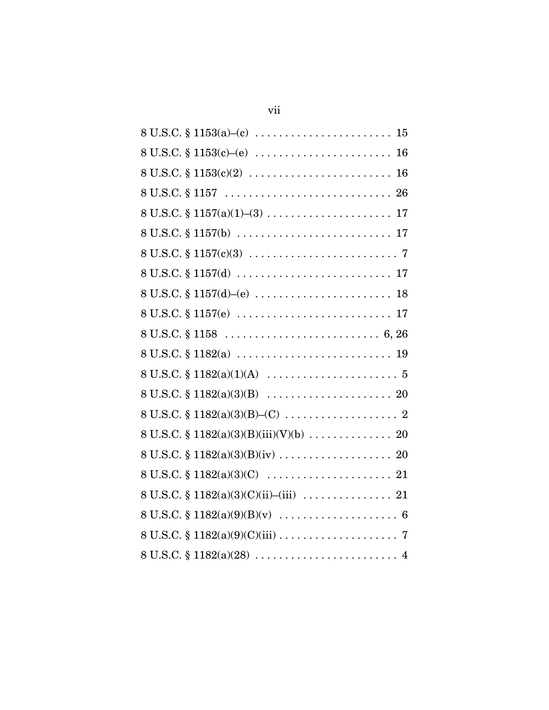| $8 U.S.C. \S 1157(b) \ldots \ldots \ldots \ldots \ldots \ldots \ldots \ldots \ldots 17$ |
|-----------------------------------------------------------------------------------------|
|                                                                                         |
|                                                                                         |
| $8 U.S.C. \S 1157(d)–(e) \ldots \ldots \ldots \ldots \ldots \ldots \ldots \ldots 18$    |
| $8 U.S.C. \S 1157(e) \ldots \ldots \ldots \ldots \ldots \ldots \ldots \ldots \ldots 17$ |
|                                                                                         |
| $8 U.S.C. \S 1182(a) \ldots \ldots \ldots \ldots \ldots \ldots \ldots \ldots \ldots 19$ |
|                                                                                         |
|                                                                                         |
|                                                                                         |
|                                                                                         |
|                                                                                         |
| 8 U.S.C. $\{1182(a)(3)(C) \ldots \ldots \ldots \ldots \ldots \ldots \ldots 21$          |
|                                                                                         |
|                                                                                         |
|                                                                                         |
|                                                                                         |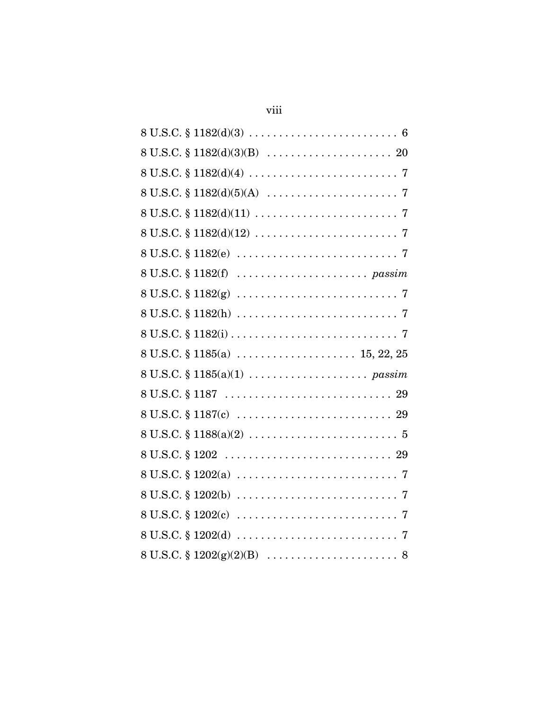| $8 U.S.C. \S 1182(g) \ldots \ldots \ldots \ldots \ldots \ldots \ldots \ldots \ldots \ldots \ldots \ldots$                |
|--------------------------------------------------------------------------------------------------------------------------|
|                                                                                                                          |
|                                                                                                                          |
| 8 U.S.C. § 1185(a)  15, 22, 25                                                                                           |
|                                                                                                                          |
|                                                                                                                          |
| $8 U.S.C. \S 1187(c) \ldots \ldots \ldots \ldots \ldots \ldots \ldots \ldots \ldots 29$                                  |
|                                                                                                                          |
|                                                                                                                          |
|                                                                                                                          |
| $8 U.S.C. \S 1202(b) \ldots \ldots \ldots \ldots \ldots \ldots \ldots \ldots \ldots \ldots \ldots \ldots$                |
| $8 \text{ U.S.C.} \S 1202(c) \ldots \ldots \ldots \ldots \ldots \ldots \ldots \ldots \ldots \ldots \ldots \ldots \ldots$ |
|                                                                                                                          |
|                                                                                                                          |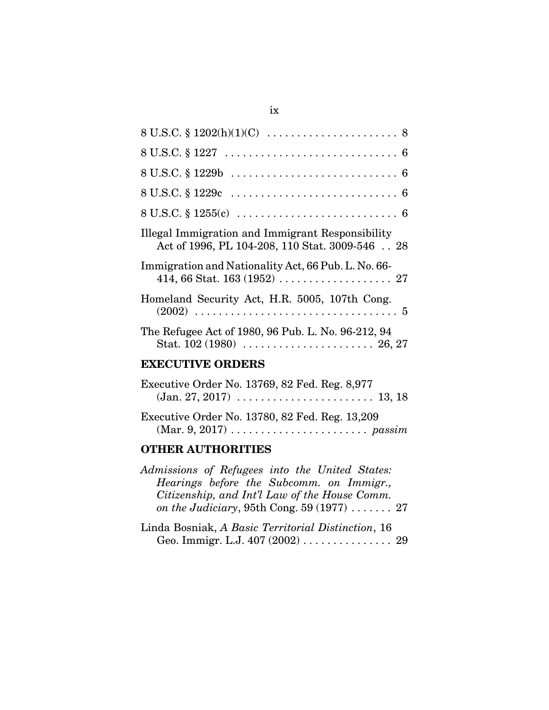| 8 U.S.C. $\S 1202(h)(1)(C) \dots \dots \dots \dots \dots \dots \dots \dots \dots \dots \dots$                    |
|------------------------------------------------------------------------------------------------------------------|
|                                                                                                                  |
|                                                                                                                  |
| $8 U.S.C. \S 1229c \ldots \ldots \ldots \ldots \ldots \ldots \ldots \ldots \ldots \quad 6$                       |
| $8 U.S.C. \S 1255(c) \ldots \ldots \ldots \ldots \ldots \ldots \ldots \ldots \ldots \ldots \ldots \ldots \ldots$ |
| Illegal Immigration and Immigrant Responsibility<br>Act of 1996, PL 104-208, 110 Stat. 3009-546  28              |
| Immigration and Nationality Act, 66 Pub. L. No. 66-                                                              |
| Homeland Security Act, H.R. 5005, 107th Cong.                                                                    |
| The Refugee Act of 1980, 96 Pub. L. No. 96-212, 94                                                               |
| . <del></del>                                                                                                    |

## **EXECUTIVE ORDERS**

| Executive Order No. 13769, 82 Fed. Reg. 8,977                                                                                            |
|------------------------------------------------------------------------------------------------------------------------------------------|
| $(Jan. 27, 2017) \ldots \ldots \ldots \ldots \ldots \ldots \ldots 13, 18$                                                                |
| Executive Order No. 13780, 82 Fed. Reg. 13,209<br>$(Mar. 9, 2017) \ldots \ldots \ldots \ldots \ldots \ldots \ldots \ldots \text{passim}$ |

# **OTHER AUTHORITIES**

| Admissions of Refugees into the United States: |
|------------------------------------------------|
| Hearings before the Subcomm. on Immigr.,       |
| Citizenship, and Int'l Law of the House Comm.  |
| on the Judiciary, 95th Cong. 59 $(1977)$ 27    |
|                                                |

| Linda Bosniak, A Basic Territorial Distinction, 16                   |  |
|----------------------------------------------------------------------|--|
| Geo. Immigr. L.J. $407 (2002) \ldots \ldots \ldots \ldots \ldots 29$ |  |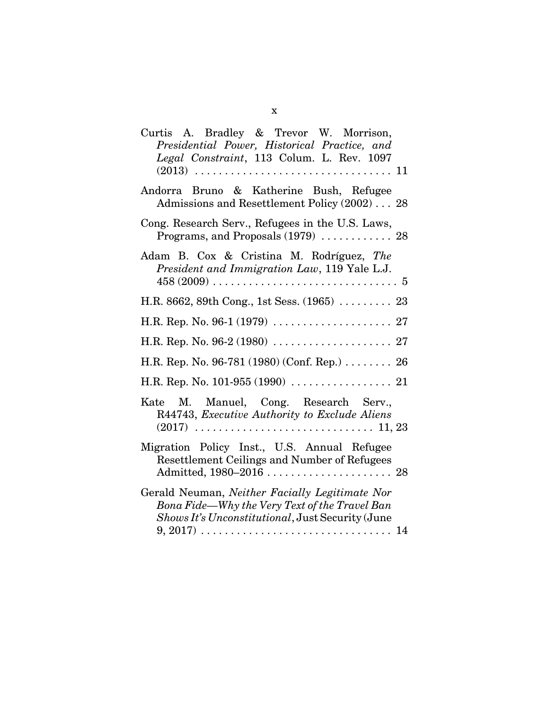| Curtis A. Bradley & Trevor W. Morrison,<br>Presidential Power, Historical Practice, and                                                             |
|-----------------------------------------------------------------------------------------------------------------------------------------------------|
| Legal Constraint, 113 Colum. L. Rev. 1097                                                                                                           |
| Andorra Bruno & Katherine Bush, Refugee<br>Admissions and Resettlement Policy (2002) 28                                                             |
| Cong. Research Serv., Refugees in the U.S. Laws,<br>Programs, and Proposals (1979)  28                                                              |
| Adam B. Cox & Cristina M. Rodríguez, The<br>President and Immigration Law, 119 Yale L.J.                                                            |
| H.R. 8662, 89th Cong., 1st Sess. (1965)  23                                                                                                         |
|                                                                                                                                                     |
|                                                                                                                                                     |
| H.R. Rep. No. 96-781 (1980) (Conf. Rep.) 26                                                                                                         |
|                                                                                                                                                     |
| Kate M. Manuel, Cong. Research Serv.,<br>R44743, Executive Authority to Exclude Aliens                                                              |
| Migration Policy Inst., U.S. Annual Refugee<br>Resettlement Ceilings and Number of Refugees<br>Admitted, 1980–2016  28                              |
| Gerald Neuman, Neither Facially Legitimate Nor<br>Bona Fide—Why the Very Text of the Travel Ban<br>Shows It's Unconstitutional, Just Security (June |
| $9, 2017) \ldots \ldots \ldots \ldots \ldots \ldots \ldots \ldots \ldots \ldots \ldots 14$                                                          |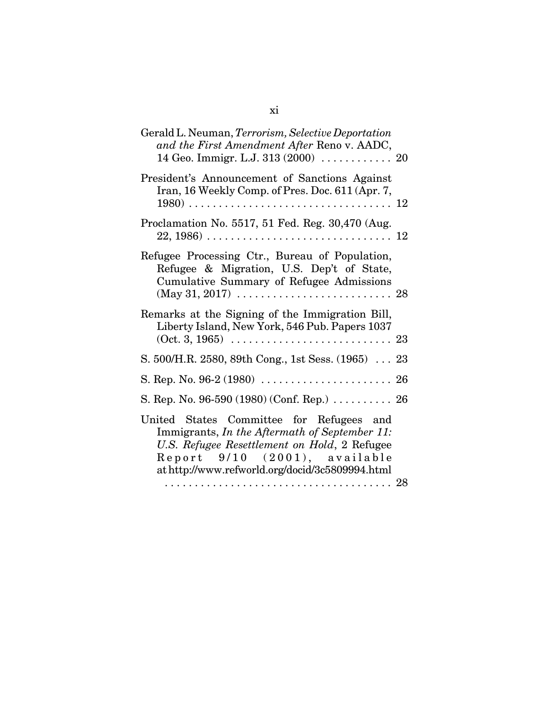| Gerald L. Neuman, Terrorism, Selective Deportation<br>and the First Amendment After Reno v. AADC,<br>14 Geo. Immigr. L.J. 313 (2000)  20                                                                                      |  |
|-------------------------------------------------------------------------------------------------------------------------------------------------------------------------------------------------------------------------------|--|
| President's Announcement of Sanctions Against<br>Iran, 16 Weekly Comp. of Pres. Doc. 611 (Apr. 7,                                                                                                                             |  |
| Proclamation No. 5517, 51 Fed. Reg. 30,470 (Aug.<br>$22, 1986) \ldots \ldots \ldots \ldots \ldots \ldots \ldots \ldots \ldots \ldots \ldots \ldots 12$                                                                        |  |
| Refugee Processing Ctr., Bureau of Population,<br>Refugee & Migration, U.S. Dep't of State,<br>Cumulative Summary of Refugee Admissions<br>$(May 31, 2017) \ldots \ldots \ldots \ldots \ldots \ldots \ldots \ldots \ldots 28$ |  |
| Remarks at the Signing of the Immigration Bill,<br>Liberty Island, New York, 546 Pub. Papers 1037                                                                                                                             |  |
| S. 500/H.R. 2580, 89th Cong., 1st Sess. (1965) 23                                                                                                                                                                             |  |
|                                                                                                                                                                                                                               |  |
| S. Rep. No. 96-590 (1980) (Conf. Rep.)  26                                                                                                                                                                                    |  |
| United States Committee for Refugees and<br>Immigrants, In the Aftermath of September 11:<br>U.S. Refugee Resettlement on Hold, 2 Refugee<br>Report 9/10 (2001), available<br>at http://www.refworld.org/docid/3c5809994.html |  |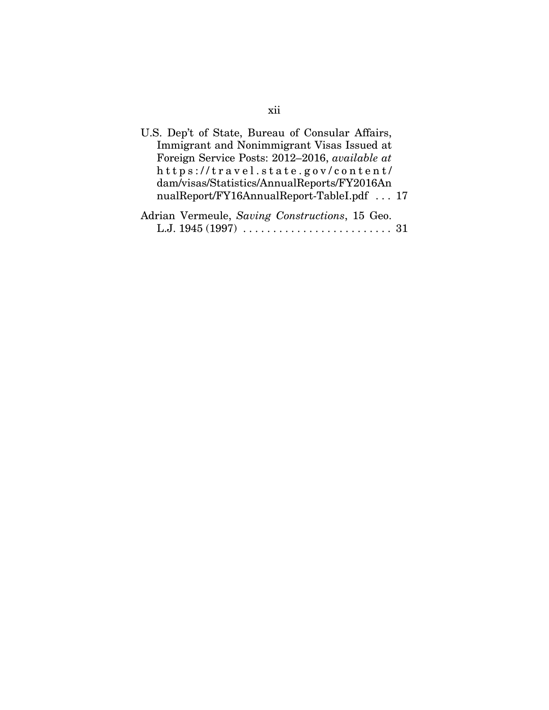| U.S. Dep't of State, Bureau of Consular Affairs, |
|--------------------------------------------------|
| Immigrant and Nonimmigrant Visas Issued at       |
| Foreign Service Posts: 2012-2016, available at   |
| https://travel.state.gov/content/                |
| dam/visas/Statistics/AnnualReports/FY2016An      |
| nualReport/FY16AnnualReport-TableI.pdf  17       |
| Adrian Vermeule, Saving Constructions, 15 Geo.   |
| L.J. $1945(1997)$ .                              |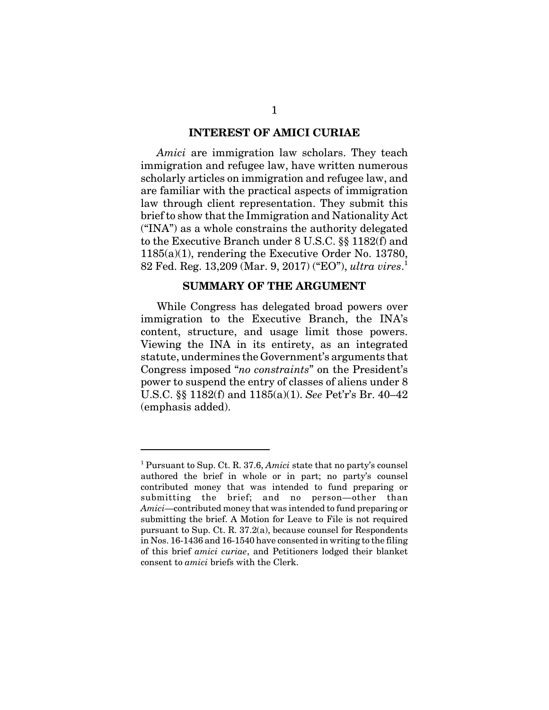#### **INTEREST OF AMICI CURIAE**

*Amici* are immigration law scholars. They teach immigration and refugee law, have written numerous scholarly articles on immigration and refugee law, and are familiar with the practical aspects of immigration law through client representation. They submit this brief to show that the Immigration and Nationality Act ("INA") as a whole constrains the authority delegated to the Executive Branch under 8 U.S.C. §§ 1182(f) and 1185(a)(1), rendering the Executive Order No. 13780, 82 Fed. Reg. 13,209 (Mar. 9, 2017) ("EO"), *ultra vires*. 1

#### **SUMMARY OF THE ARGUMENT**

While Congress has delegated broad powers over immigration to the Executive Branch, the INA's content, structure, and usage limit those powers. Viewing the INA in its entirety, as an integrated statute, undermines the Government's arguments that Congress imposed "*no constraints*" on the President's power to suspend the entry of classes of aliens under 8 U.S.C. §§ 1182(f) and 1185(a)(1). *See* Pet'r's Br. 40–42 (emphasis added).

<sup>&</sup>lt;sup>1</sup> Pursuant to Sup. Ct. R. 37.6, *Amici* state that no party's counsel authored the brief in whole or in part; no party's counsel contributed money that was intended to fund preparing or submitting the brief; and no person—other than *Amici*—contributed money that was intended to fund preparing or submitting the brief. A Motion for Leave to File is not required pursuant to Sup. Ct. R. 37.2(a), because counsel for Respondents in Nos. 16-1436 and 16-1540 have consented in writing to the filing of this brief *amici curiae*, and Petitioners lodged their blanket consent to *amici* briefs with the Clerk.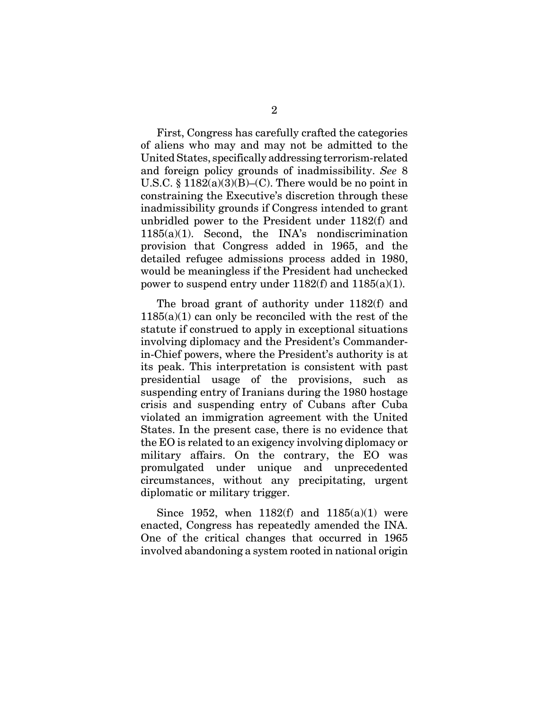First, Congress has carefully crafted the categories of aliens who may and may not be admitted to the United States, specifically addressing terrorism-related and foreign policy grounds of inadmissibility. *See* 8 U.S.C.  $\S 1182(a)(3)(B)$ –(C). There would be no point in constraining the Executive's discretion through these inadmissibility grounds if Congress intended to grant unbridled power to the President under 1182(f) and 1185(a)(1). Second, the INA's nondiscrimination provision that Congress added in 1965, and the detailed refugee admissions process added in 1980, would be meaningless if the President had unchecked power to suspend entry under  $1182(f)$  and  $1185(a)(1)$ .

The broad grant of authority under 1182(f) and  $1185(a)(1)$  can only be reconciled with the rest of the statute if construed to apply in exceptional situations involving diplomacy and the President's Commanderin-Chief powers, where the President's authority is at its peak. This interpretation is consistent with past presidential usage of the provisions, such as suspending entry of Iranians during the 1980 hostage crisis and suspending entry of Cubans after Cuba violated an immigration agreement with the United States. In the present case, there is no evidence that the EO is related to an exigency involving diplomacy or military affairs. On the contrary, the EO was promulgated under unique and unprecedented circumstances, without any precipitating, urgent diplomatic or military trigger.

Since 1952, when  $1182(f)$  and  $1185(a)(1)$  were enacted, Congress has repeatedly amended the INA. One of the critical changes that occurred in 1965 involved abandoning a system rooted in national origin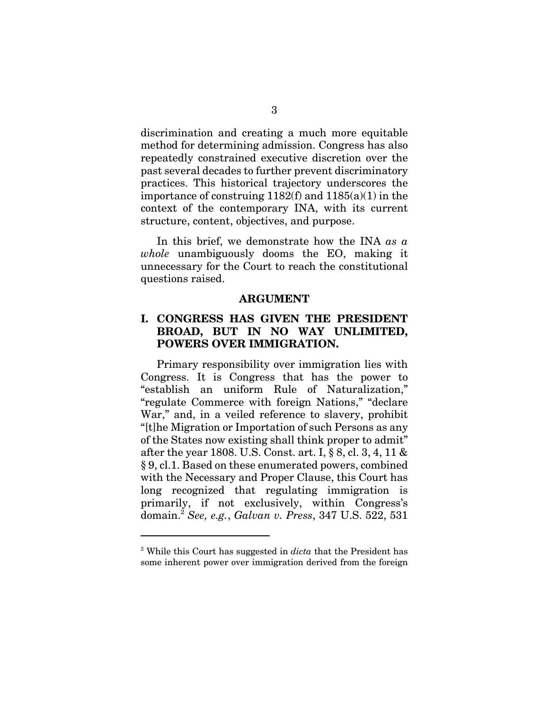discrimination and creating a much more equitable method for determining admission. Congress has also repeatedly constrained executive discretion over the past several decades to further prevent discriminatory practices. This historical trajectory underscores the importance of construing 1182(f) and 1185(a)(1) in the context of the contemporary INA, with its current structure, content, objectives, and purpose.

In this brief, we demonstrate how the INA *as a whole* unambiguously dooms the EO, making it unnecessary for the Court to reach the constitutional questions raised.

#### **ARGUMENT**

### **I. CONGRESS HAS GIVEN THE PRESIDENT BROAD, BUT IN NO WAY UNLIMITED, POWERS OVER IMMIGRATION.**

Primary responsibility over immigration lies with Congress. It is Congress that has the power to "establish an uniform Rule of Naturalization," "regulate Commerce with foreign Nations," "declare War," and, in a veiled reference to slavery, prohibit "[t]he Migration or Importation of such Persons as any of the States now existing shall think proper to admit" after the year 1808. U.S. Const. art. I, § 8, cl. 3, 4, 11 & § 9, cl.1. Based on these enumerated powers, combined with the Necessary and Proper Clause, this Court has long recognized that regulating immigration is primarily, if not exclusively, within Congress's domain.<sup>2</sup> *See, e.g.*, *Galvan v. Press*, 347 U.S. 522, 531

<sup>&</sup>lt;sup>2</sup> While this Court has suggested in *dicta* that the President has some inherent power over immigration derived from the foreign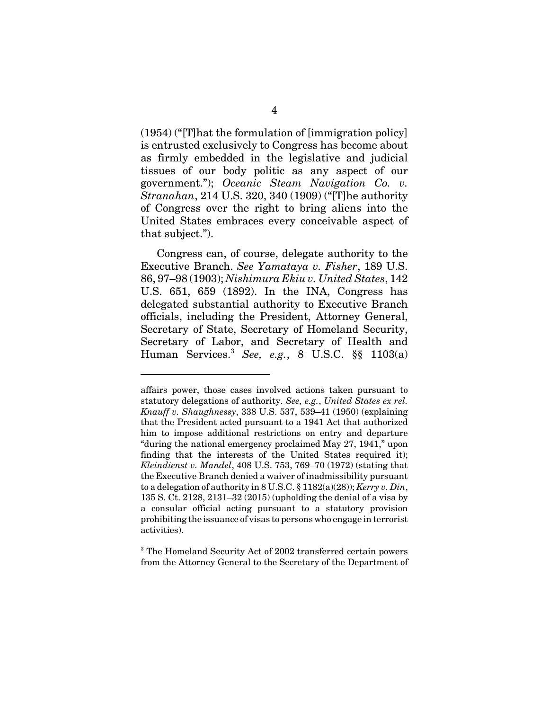(1954) ("[T]hat the formulation of [immigration policy] is entrusted exclusively to Congress has become about as firmly embedded in the legislative and judicial tissues of our body politic as any aspect of our government."); *Oceanic Steam Navigation Co. v. Stranahan*, 214 U.S. 320, 340 (1909) ("[T]he authority of Congress over the right to bring aliens into the United States embraces every conceivable aspect of that subject.").

Congress can, of course, delegate authority to the Executive Branch. *See Yamataya v. Fisher*, 189 U.S. 86, 97–98 (1903); *Nishimura Ekiu v. United States*, 142 U.S. 651, 659 (1892). In the INA, Congress has delegated substantial authority to Executive Branch officials, including the President, Attorney General, Secretary of State, Secretary of Homeland Security, Secretary of Labor, and Secretary of Health and Human Services.<sup>3</sup> *See, e.g.*, 8 U.S.C. §§ 1103(a)

affairs power, those cases involved actions taken pursuant to statutory delegations of authority. *See, e.g.*, *United States ex rel. Knauff v. Shaughnessy*, 338 U.S. 537, 539–41 (1950) (explaining that the President acted pursuant to a 1941 Act that authorized him to impose additional restrictions on entry and departure "during the national emergency proclaimed May 27, 1941," upon finding that the interests of the United States required it); *Kleindienst v. Mandel*, 408 U.S. 753, 769–70 (1972) (stating that the Executive Branch denied a waiver of inadmissibility pursuant to a delegation of authority in 8 U.S.C. § 1182(a)(28)); *Kerry v. Din*, 135 S. Ct. 2128, 2131–32 (2015) (upholding the denial of a visa by a consular official acting pursuant to a statutory provision prohibiting the issuance of visas to persons who engage in terrorist activities).

<sup>&</sup>lt;sup>3</sup> The Homeland Security Act of 2002 transferred certain powers from the Attorney General to the Secretary of the Department of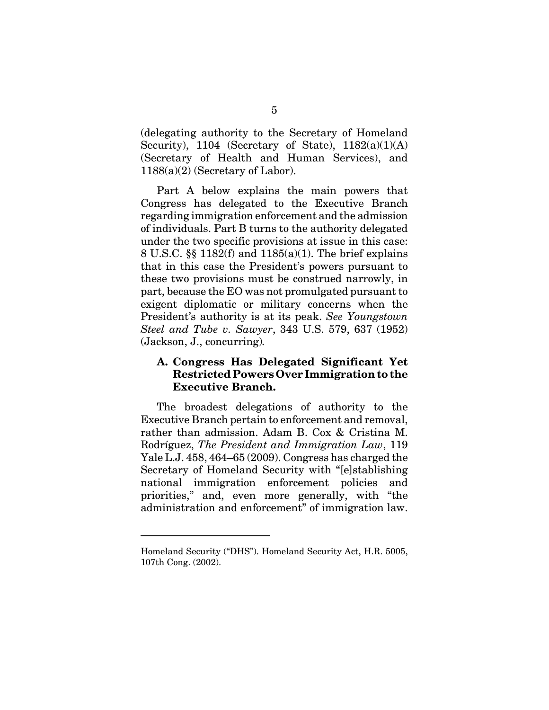(delegating authority to the Secretary of Homeland Security), 1104 (Secretary of State),  $1182(a)(1)(A)$ (Secretary of Health and Human Services), and 1188(a)(2) (Secretary of Labor).

Part A below explains the main powers that Congress has delegated to the Executive Branch regarding immigration enforcement and the admission of individuals. Part B turns to the authority delegated under the two specific provisions at issue in this case: 8 U.S.C. §§ 1182(f) and 1185(a)(1). The brief explains that in this case the President's powers pursuant to these two provisions must be construed narrowly, in part, because the EO was not promulgated pursuant to exigent diplomatic or military concerns when the President's authority is at its peak. *See Youngstown Steel and Tube v. Sawyer*, 343 U.S. 579, 637 (1952) (Jackson, J., concurring)*.*

#### **A. Congress Has Delegated Significant Yet Restricted Powers Over Immigration to the Executive Branch.**

The broadest delegations of authority to the Executive Branch pertain to enforcement and removal, rather than admission. Adam B. Cox & Cristina M. Rodríguez, *The President and Immigration Law*, 119 Yale L.J. 458, 464–65 (2009). Congress has charged the Secretary of Homeland Security with "[e]stablishing national immigration enforcement policies and priorities," and, even more generally, with "the administration and enforcement" of immigration law.

Homeland Security ("DHS"). Homeland Security Act, H.R. 5005, 107th Cong. (2002).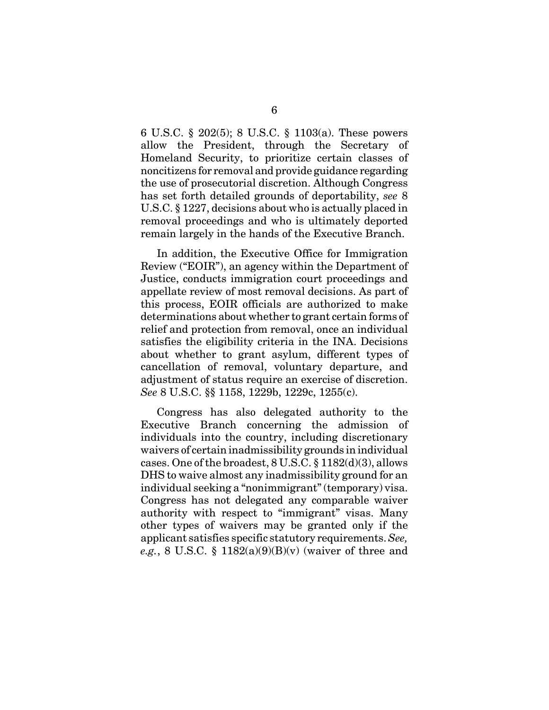6 U.S.C. § 202(5); 8 U.S.C. § 1103(a). These powers allow the President, through the Secretary of Homeland Security, to prioritize certain classes of noncitizens for removal and provide guidance regarding the use of prosecutorial discretion. Although Congress has set forth detailed grounds of deportability, *see* 8 U.S.C. § 1227, decisions about who is actually placed in removal proceedings and who is ultimately deported remain largely in the hands of the Executive Branch.

In addition, the Executive Office for Immigration Review ("EOIR"), an agency within the Department of Justice, conducts immigration court proceedings and appellate review of most removal decisions. As part of this process, EOIR officials are authorized to make determinations about whether to grant certain forms of relief and protection from removal, once an individual satisfies the eligibility criteria in the INA. Decisions about whether to grant asylum, different types of cancellation of removal, voluntary departure, and adjustment of status require an exercise of discretion. *See* 8 U.S.C. §§ 1158, 1229b, 1229c, 1255(c).

Congress has also delegated authority to the Executive Branch concerning the admission of individuals into the country, including discretionary waivers of certain inadmissibility grounds in individual cases. One of the broadest, 8 U.S.C. § 1182(d)(3), allows DHS to waive almost any inadmissibility ground for an individual seeking a "nonimmigrant" (temporary) visa. Congress has not delegated any comparable waiver authority with respect to "immigrant" visas. Many other types of waivers may be granted only if the applicant satisfies specific statutory requirements. *See, e.g.*, 8 U.S.C. §  $1182(a)(9)(B)(v)$  (waiver of three and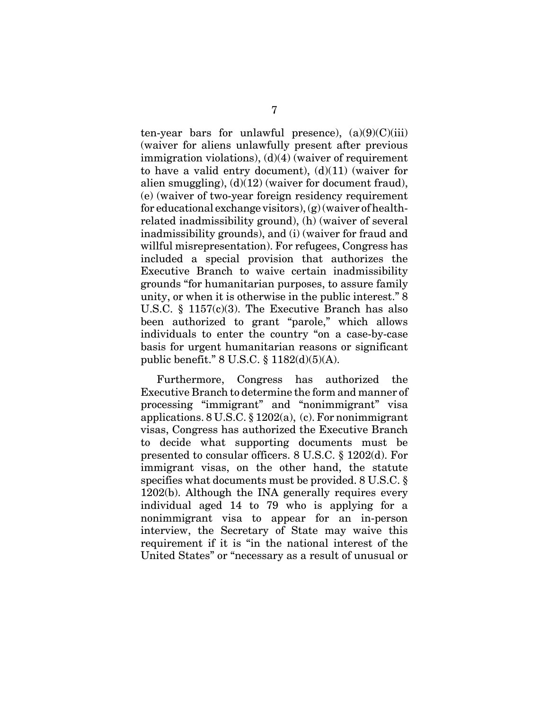ten-year bars for unlawful presence),  $(a)(9)(C)(iii)$ (waiver for aliens unlawfully present after previous immigration violations), (d)(4) (waiver of requirement to have a valid entry document),  $(d)(11)$  (waiver for alien smuggling),  $(d)(12)$  (waiver for document fraud), (e) (waiver of two-year foreign residency requirement for educational exchange visitors), (g) (waiver of healthrelated inadmissibility ground), (h) (waiver of several inadmissibility grounds), and (i) (waiver for fraud and willful misrepresentation). For refugees, Congress has included a special provision that authorizes the Executive Branch to waive certain inadmissibility grounds "for humanitarian purposes, to assure family unity, or when it is otherwise in the public interest." 8 U.S.C. § 1157(c)(3). The Executive Branch has also been authorized to grant "parole," which allows individuals to enter the country "on a case-by-case basis for urgent humanitarian reasons or significant public benefit." 8 U.S.C. § 1182(d)(5)(A).

Furthermore, Congress has authorized the Executive Branch to determine the form and manner of processing "immigrant" and "nonimmigrant" visa applications. 8 U.S.C. § 1202(a), (c). For nonimmigrant visas, Congress has authorized the Executive Branch to decide what supporting documents must be presented to consular officers. 8 U.S.C. § 1202(d). For immigrant visas, on the other hand, the statute specifies what documents must be provided. 8 U.S.C. § 1202(b). Although the INA generally requires every individual aged 14 to 79 who is applying for a nonimmigrant visa to appear for an in-person interview, the Secretary of State may waive this requirement if it is "in the national interest of the United States" or "necessary as a result of unusual or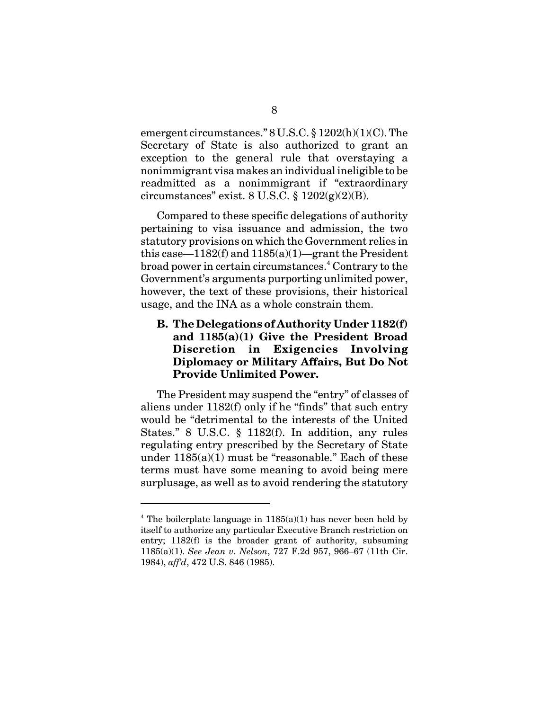emergent circumstances." 8 U.S.C. § 1202(h)(1)(C). The Secretary of State is also authorized to grant an exception to the general rule that overstaying a nonimmigrant visa makes an individual ineligible to be readmitted as a nonimmigrant if "extraordinary circumstances" exist.  $8 \text{ U.S.C.} \$  $1202(g)(2)(B)$ .

Compared to these specific delegations of authority pertaining to visa issuance and admission, the two statutory provisions on which the Government relies in this case— $1182(f)$  and  $1185(a)(1)$ —grant the President broad power in certain circumstances. $^4$  Contrary to the Government's arguments purporting unlimited power, however, the text of these provisions, their historical usage, and the INA as a whole constrain them.

### **B. The Delegations of Authority Under 1182(f) and 1185(a)(1) Give the President Broad Discretion in Exigencies Involving Diplomacy or Military Affairs, But Do Not Provide Unlimited Power.**

The President may suspend the "entry" of classes of aliens under 1182(f) only if he "finds" that such entry would be "detrimental to the interests of the United States." 8 U.S.C. § 1182(f). In addition, any rules regulating entry prescribed by the Secretary of State under  $1185(a)(1)$  must be "reasonable." Each of these terms must have some meaning to avoid being mere surplusage, as well as to avoid rendering the statutory

<sup>&</sup>lt;sup>4</sup> The boilerplate language in  $1185(a)(1)$  has never been held by itself to authorize any particular Executive Branch restriction on entry; 1182(f) is the broader grant of authority, subsuming 1185(a)(1). *See Jean v. Nelson*, 727 F.2d 957, 966–67 (11th Cir. 1984), *aff'd*, 472 U.S. 846 (1985).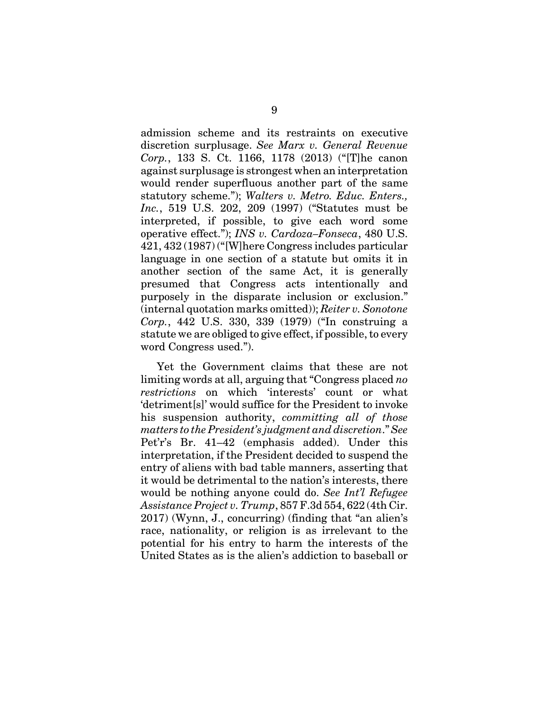admission scheme and its restraints on executive discretion surplusage. *See Marx v. General Revenue Corp.*, 133 S. Ct. 1166, 1178 (2013) ("[T]he canon against surplusage is strongest when an interpretation would render superfluous another part of the same statutory scheme."); *Walters v. Metro. Educ. Enters., Inc.*, 519 U.S. 202, 209 (1997) ("Statutes must be interpreted, if possible, to give each word some operative effect."); *INS v. Cardoza–Fonseca*, 480 U.S. 421, 432 (1987) ("[W]here Congress includes particular language in one section of a statute but omits it in another section of the same Act, it is generally presumed that Congress acts intentionally and purposely in the disparate inclusion or exclusion." (internal quotation marks omitted)); *Reiter v. Sonotone Corp.*, 442 U.S. 330, 339 (1979) ("In construing a statute we are obliged to give effect, if possible, to every word Congress used.").

Yet the Government claims that these are not limiting words at all, arguing that "Congress placed *no restrictions* on which 'interests' count or what 'detriment[s]' would suffice for the President to invoke his suspension authority, *committing all of those matters to the President's judgment and discretion*." *See* Pet'r's Br. 41–42 (emphasis added). Under this interpretation, if the President decided to suspend the entry of aliens with bad table manners, asserting that it would be detrimental to the nation's interests, there would be nothing anyone could do. *See Int'l Refugee Assistance Project v. Trump*, 857 F.3d 554, 622 (4th Cir. 2017) (Wynn, J., concurring) (finding that "an alien's race, nationality, or religion is as irrelevant to the potential for his entry to harm the interests of the United States as is the alien's addiction to baseball or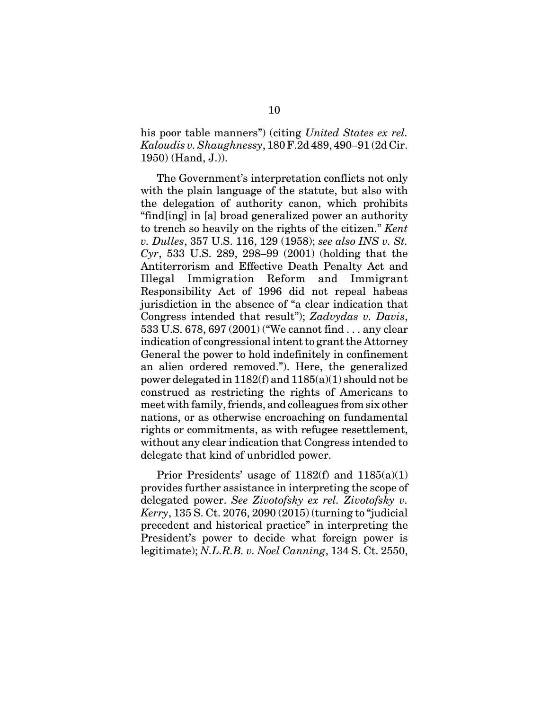his poor table manners") (citing *United States ex rel. Kaloudis v. Shaughnessy*, 180 F.2d 489, 490–91 (2d Cir. 1950) (Hand, J.)).

The Government's interpretation conflicts not only with the plain language of the statute, but also with the delegation of authority canon, which prohibits "find[ing] in [a] broad generalized power an authority to trench so heavily on the rights of the citizen." *Kent v. Dulles*, 357 U.S. 116, 129 (1958); *see also INS v. St. Cyr*, 533 U.S. 289, 298–99 (2001) (holding that the Antiterrorism and Effective Death Penalty Act and Illegal Immigration Reform and Immigrant Responsibility Act of 1996 did not repeal habeas jurisdiction in the absence of "a clear indication that Congress intended that result"); *Zadvydas v. Davis*, 533 U.S. 678, 697 (2001) ("We cannot find . . . any clear indication of congressional intent to grant the Attorney General the power to hold indefinitely in confinement an alien ordered removed."). Here, the generalized power delegated in 1182(f) and 1185(a)(1) should not be construed as restricting the rights of Americans to meet with family, friends, and colleagues from six other nations, or as otherwise encroaching on fundamental rights or commitments, as with refugee resettlement, without any clear indication that Congress intended to delegate that kind of unbridled power.

Prior Presidents' usage of  $1182(f)$  and  $1185(a)(1)$ provides further assistance in interpreting the scope of delegated power. *See Zivotofsky ex rel. Zivotofsky v. Kerry*, 135 S. Ct. 2076, 2090 (2015) (turning to "judicial precedent and historical practice" in interpreting the President's power to decide what foreign power is legitimate); *N.L.R.B. v. Noel Canning*, 134 S. Ct. 2550,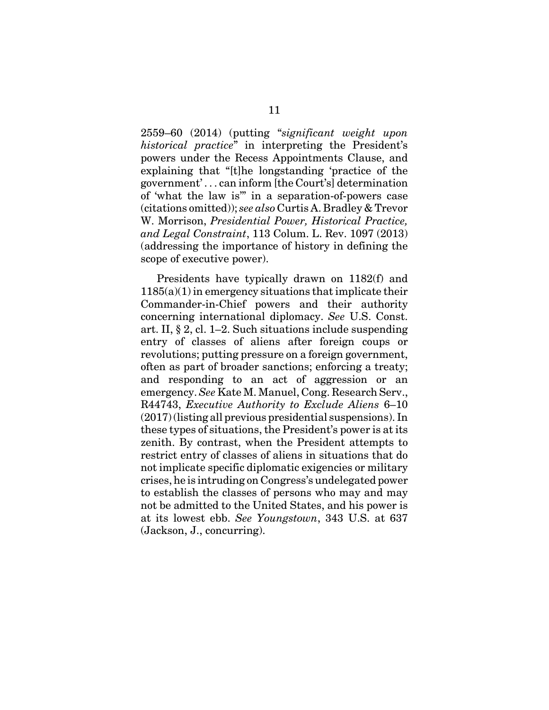2559–60 (2014) (putting "*significant weight upon historical practice*" in interpreting the President's powers under the Recess Appointments Clause, and explaining that "[t]he longstanding 'practice of the government' . . . can inform [the Court's] determination of 'what the law is'" in a separation-of-powers case (citations omitted)); *see also* Curtis A. Bradley & Trevor W. Morrison, *Presidential Power, Historical Practice, and Legal Constraint*, 113 Colum. L. Rev. 1097 (2013) (addressing the importance of history in defining the scope of executive power).

Presidents have typically drawn on 1182(f) and 1185(a)(1) in emergency situations that implicate their Commander-in-Chief powers and their authority concerning international diplomacy. *See* U.S. Const. art. II, § 2, cl. 1–2. Such situations include suspending entry of classes of aliens after foreign coups or revolutions; putting pressure on a foreign government, often as part of broader sanctions; enforcing a treaty; and responding to an act of aggression or an emergency. *See* Kate M. Manuel, Cong. Research Serv., R44743, *Executive Authority to Exclude Aliens* 6–10 (2017) (listing all previous presidential suspensions). In these types of situations, the President's power is at its zenith. By contrast, when the President attempts to restrict entry of classes of aliens in situations that do not implicate specific diplomatic exigencies or military crises, he is intruding on Congress's undelegated power to establish the classes of persons who may and may not be admitted to the United States, and his power is at its lowest ebb. *See Youngstown*, 343 U.S. at 637 (Jackson, J., concurring).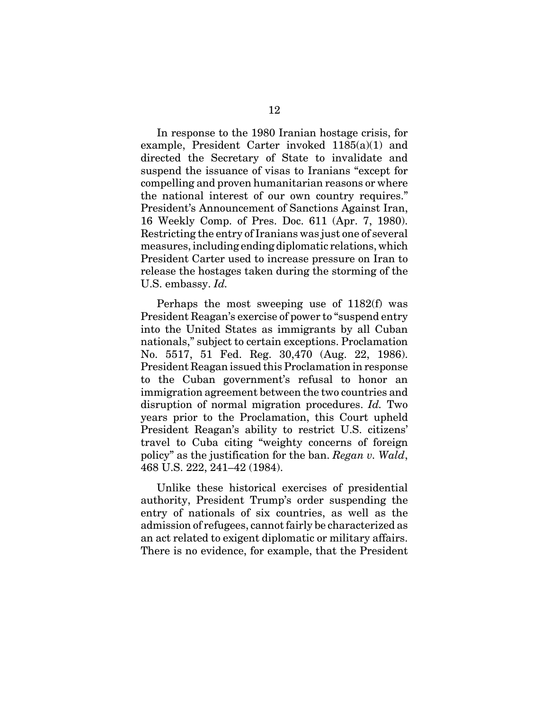In response to the 1980 Iranian hostage crisis, for example, President Carter invoked 1185(a)(1) and directed the Secretary of State to invalidate and suspend the issuance of visas to Iranians "except for compelling and proven humanitarian reasons or where the national interest of our own country requires." President's Announcement of Sanctions Against Iran, 16 Weekly Comp. of Pres. Doc. 611 (Apr. 7, 1980). Restricting the entry of Iranians was just one of several measures, including ending diplomatic relations, which President Carter used to increase pressure on Iran to release the hostages taken during the storming of the U.S. embassy. *Id.*

Perhaps the most sweeping use of 1182(f) was President Reagan's exercise of power to "suspend entry into the United States as immigrants by all Cuban nationals," subject to certain exceptions. Proclamation No. 5517, 51 Fed. Reg. 30,470 (Aug. 22, 1986). President Reagan issued this Proclamation in response to the Cuban government's refusal to honor an immigration agreement between the two countries and disruption of normal migration procedures. *Id.* Two years prior to the Proclamation, this Court upheld President Reagan's ability to restrict U.S. citizens' travel to Cuba citing "weighty concerns of foreign policy" as the justification for the ban. *Regan v. Wald*, 468 U.S. 222, 241–42 (1984).

Unlike these historical exercises of presidential authority, President Trump's order suspending the entry of nationals of six countries, as well as the admission of refugees, cannot fairly be characterized as an act related to exigent diplomatic or military affairs. There is no evidence, for example, that the President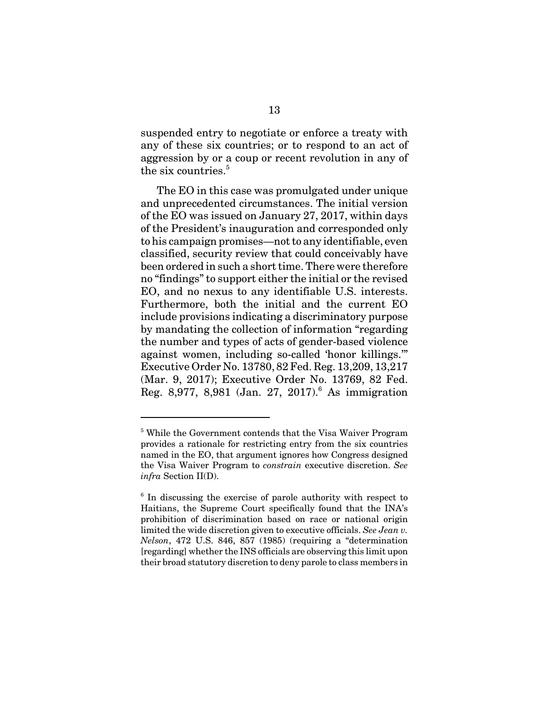suspended entry to negotiate or enforce a treaty with any of these six countries; or to respond to an act of aggression by or a coup or recent revolution in any of the six countries.<sup>5</sup>

The EO in this case was promulgated under unique and unprecedented circumstances. The initial version of the EO was issued on January 27, 2017, within days of the President's inauguration and corresponded only to his campaign promises—not to any identifiable, even classified, security review that could conceivably have been ordered in such a short time. There were therefore no "findings" to support either the initial or the revised EO, and no nexus to any identifiable U.S. interests. Furthermore, both the initial and the current EO include provisions indicating a discriminatory purpose by mandating the collection of information "regarding the number and types of acts of gender-based violence against women, including so-called 'honor killings.'" Executive Order No. 13780, 82 Fed. Reg. 13,209, 13,217 (Mar. 9, 2017); Executive Order No. 13769, 82 Fed. Reg. 8,977, 8,981 (Jan. 27, 2017).<sup>6</sup> As immigration

<sup>&</sup>lt;sup>5</sup> While the Government contends that the Visa Waiver Program provides a rationale for restricting entry from the six countries named in the EO, that argument ignores how Congress designed the Visa Waiver Program to *constrain* executive discretion. *See infra* Section II(D).

<sup>&</sup>lt;sup>6</sup> In discussing the exercise of parole authority with respect to Haitians, the Supreme Court specifically found that the INA's prohibition of discrimination based on race or national origin limited the wide discretion given to executive officials. *See Jean v. Nelson*, 472 U.S. 846, 857 (1985) (requiring a "determination [regarding] whether the INS officials are observing this limit upon their broad statutory discretion to deny parole to class members in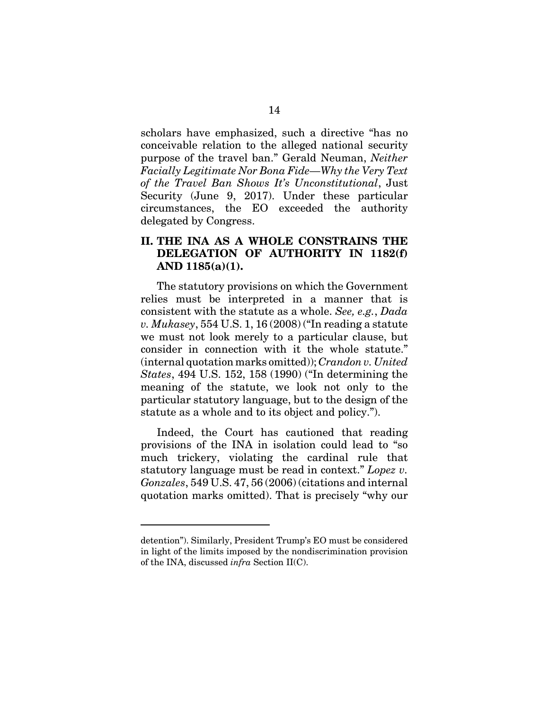scholars have emphasized, such a directive "has no conceivable relation to the alleged national security purpose of the travel ban." Gerald Neuman, *Neither Facially Legitimate Nor Bona Fide—Why the Very Text of the Travel Ban Shows It's Unconstitutional*, Just Security (June 9, 2017). Under these particular circumstances, the EO exceeded the authority delegated by Congress.

#### **II. THE INA AS A WHOLE CONSTRAINS THE DELEGATION OF AUTHORITY IN 1182(f) AND 1185(a)(1).**

The statutory provisions on which the Government relies must be interpreted in a manner that is consistent with the statute as a whole. *See, e.g.*, *Dada v. Mukasey*, 554 U.S. 1, 16 (2008) ("In reading a statute we must not look merely to a particular clause, but consider in connection with it the whole statute." (internal quotation marks omitted)); *Crandon v. United States*, 494 U.S. 152, 158 (1990) ("In determining the meaning of the statute, we look not only to the particular statutory language, but to the design of the statute as a whole and to its object and policy.").

Indeed, the Court has cautioned that reading provisions of the INA in isolation could lead to "so much trickery, violating the cardinal rule that statutory language must be read in context." *Lopez v. Gonzales*, 549 U.S. 47, 56 (2006) (citations and internal quotation marks omitted). That is precisely "why our

detention"). Similarly, President Trump's EO must be considered in light of the limits imposed by the nondiscrimination provision of the INA, discussed *infra* Section II(C).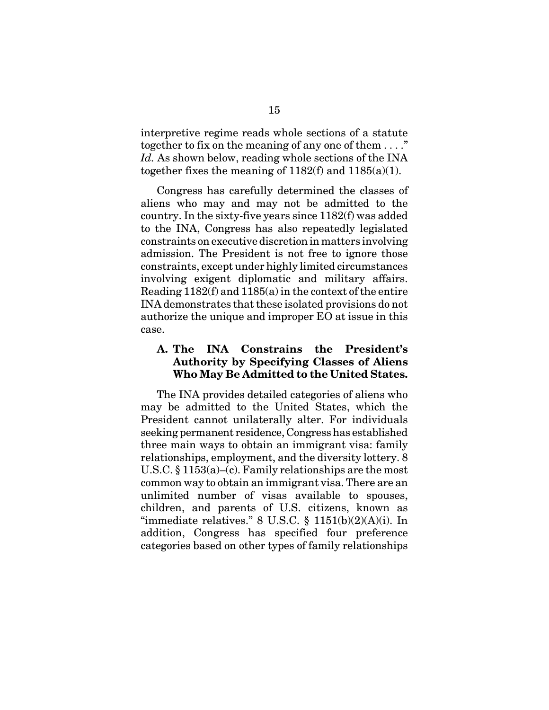interpretive regime reads whole sections of a statute together to fix on the meaning of any one of them . . . ." *Id.* As shown below, reading whole sections of the INA together fixes the meaning of  $1182(f)$  and  $1185(a)(1)$ .

Congress has carefully determined the classes of aliens who may and may not be admitted to the country. In the sixty-five years since 1182(f) was added to the INA, Congress has also repeatedly legislated constraints on executive discretion in matters involving admission. The President is not free to ignore those constraints, except under highly limited circumstances involving exigent diplomatic and military affairs. Reading 1182(f) and 1185(a) in the context of the entire INA demonstrates that these isolated provisions do not authorize the unique and improper EO at issue in this case.

#### **A. The INA Constrains the President's Authority by Specifying Classes of Aliens Who May Be Admitted to the United States.**

The INA provides detailed categories of aliens who may be admitted to the United States, which the President cannot unilaterally alter. For individuals seeking permanent residence, Congress has established three main ways to obtain an immigrant visa: family relationships, employment, and the diversity lottery. 8 U.S.C. § 1153(a)–(c). Family relationships are the most common way to obtain an immigrant visa. There are an unlimited number of visas available to spouses, children, and parents of U.S. citizens, known as "immediate relatives." 8 U.S.C.  $\S$  1151(b)(2)(A)(i). In addition, Congress has specified four preference categories based on other types of family relationships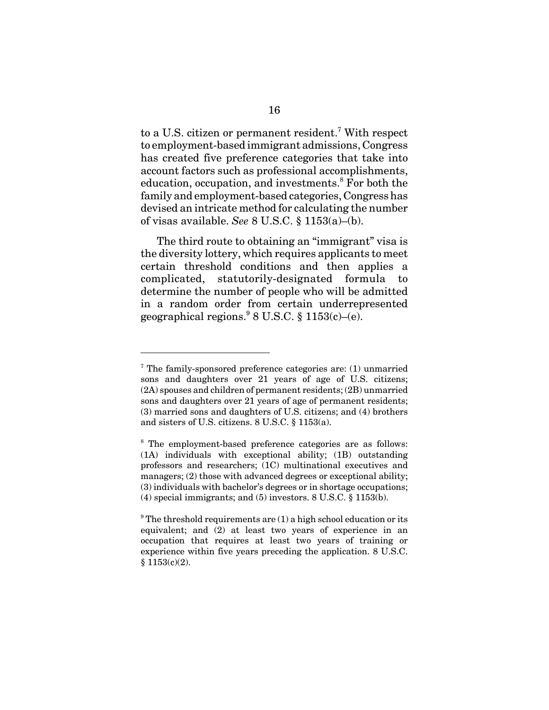to a U.S. citizen or permanent resident.<sup>7</sup> With respect to employment-based immigrant admissions, Congress has created five preference categories that take into account factors such as professional accomplishments, education, occupation, and investments.<sup>8</sup> For both the family and employment-based categories, Congress has devised an intricate method for calculating the number of visas available. *See* 8 U.S.C. § 1153(a)–(b).

The third route to obtaining an "immigrant" visa is the diversity lottery, which requires applicants to meet certain threshold conditions and then applies a complicated, statutorily-designated formula to determine the number of people who will be admitted in a random order from certain underrepresented geographical regions.  $8 \text{ U.S.C. } $1153(c) - (e)$ .

 $7$  The family-sponsored preference categories are: (1) unmarried sons and daughters over 21 years of age of U.S. citizens; (2A) spouses and children of permanent residents; (2B) unmarried sons and daughters over 21 years of age of permanent residents; (3) married sons and daughters of U.S. citizens; and (4) brothers and sisters of U.S. citizens. 8 U.S.C. § 1153(a).

<sup>&</sup>lt;sup>8</sup> The employment-based preference categories are as follows: (1A) individuals with exceptional ability; (1B) outstanding professors and researchers; (1C) multinational executives and managers; (2) those with advanced degrees or exceptional ability; (3) individuals with bachelor's degrees or in shortage occupations; (4) special immigrants; and (5) investors. 8 U.S.C. § 1153(b).

 $9^9$  The threshold requirements are (1) a high school education or its equivalent; and (2) at least two years of experience in an occupation that requires at least two years of training or experience within five years preceding the application. 8 U.S.C.  $§ 1153(c)(2).$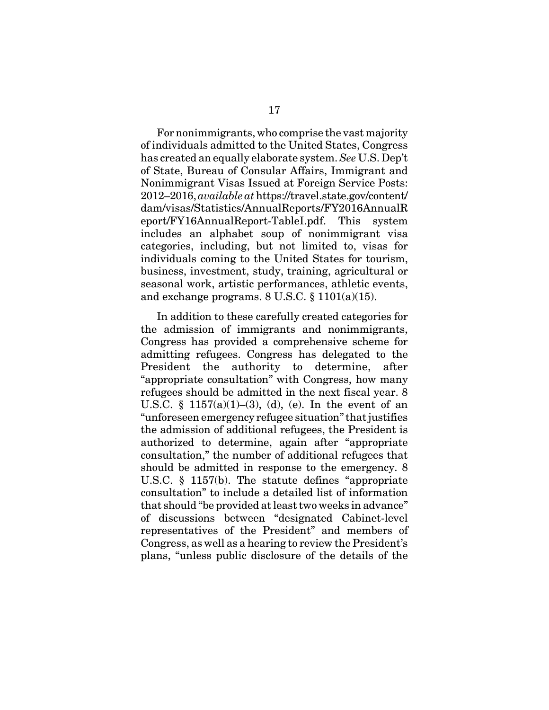For nonimmigrants, who comprise the vast majority of individuals admitted to the United States, Congress has created an equally elaborate system. *See* U.S. Dep't of State, Bureau of Consular Affairs, Immigrant and Nonimmigrant Visas Issued at Foreign Service Posts: 2012–2016, *available at* https://travel.state.gov/content/ dam/visas/Statistics/AnnualReports/FY2016AnnualR eport/FY16AnnualReport-TableI.pdf. This system includes an alphabet soup of nonimmigrant visa categories, including, but not limited to, visas for individuals coming to the United States for tourism, business, investment, study, training, agricultural or seasonal work, artistic performances, athletic events, and exchange programs. 8 U.S.C. § 1101(a)(15).

In addition to these carefully created categories for the admission of immigrants and nonimmigrants, Congress has provided a comprehensive scheme for admitting refugees. Congress has delegated to the President the authority to determine, after "appropriate consultation" with Congress, how many refugees should be admitted in the next fiscal year. 8 U.S.C. §  $1157(a)(1)–(3)$ , (d), (e). In the event of an "unforeseen emergency refugee situation" that justifies the admission of additional refugees, the President is authorized to determine, again after "appropriate consultation," the number of additional refugees that should be admitted in response to the emergency. 8 U.S.C. § 1157(b). The statute defines "appropriate consultation" to include a detailed list of information that should "be provided at least two weeks in advance" of discussions between "designated Cabinet-level representatives of the President" and members of Congress, as well as a hearing to review the President's plans, "unless public disclosure of the details of the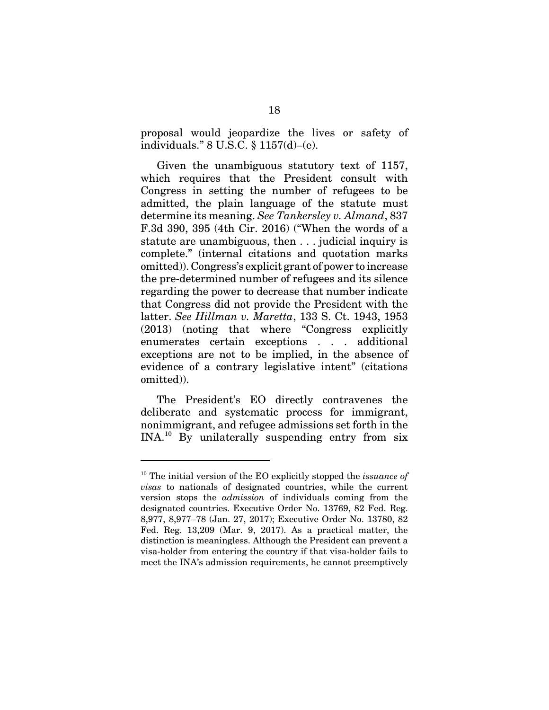proposal would jeopardize the lives or safety of individuals." 8 U.S.C. § 1157(d)–(e).

Given the unambiguous statutory text of 1157, which requires that the President consult with Congress in setting the number of refugees to be admitted, the plain language of the statute must determine its meaning. *See Tankersley v. Almand*, 837 F.3d 390, 395 (4th Cir. 2016) ("When the words of a statute are unambiguous, then . . . judicial inquiry is complete." (internal citations and quotation marks omitted)). Congress's explicit grant of power to increase the pre-determined number of refugees and its silence regarding the power to decrease that number indicate that Congress did not provide the President with the latter. *See Hillman v. Maretta*, 133 S. Ct. 1943, 1953 (2013) (noting that where "Congress explicitly enumerates certain exceptions . . . additional exceptions are not to be implied, in the absence of evidence of a contrary legislative intent" (citations omitted)).

The President's EO directly contravenes the deliberate and systematic process for immigrant, nonimmigrant, and refugee admissions set forth in the INA.10 By unilaterally suspending entry from six

<sup>10</sup> The initial version of the EO explicitly stopped the *issuance of visas* to nationals of designated countries, while the current version stops the *admission* of individuals coming from the designated countries. Executive Order No. 13769, 82 Fed. Reg. 8,977, 8,977–78 (Jan. 27, 2017); Executive Order No. 13780, 82 Fed. Reg. 13,209 (Mar. 9, 2017). As a practical matter, the distinction is meaningless. Although the President can prevent a visa-holder from entering the country if that visa-holder fails to meet the INA's admission requirements, he cannot preemptively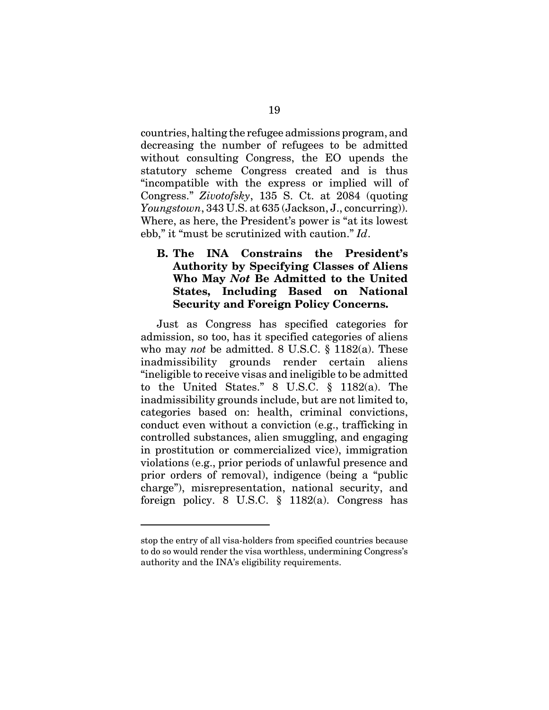countries, halting the refugee admissions program, and decreasing the number of refugees to be admitted without consulting Congress, the EO upends the statutory scheme Congress created and is thus "incompatible with the express or implied will of Congress." *Zivotofsky*, 135 S. Ct. at 2084 (quoting *Youngstown*, 343 U.S. at 635 (Jackson, J., concurring)). Where, as here, the President's power is "at its lowest ebb," it "must be scrutinized with caution." *Id*.

### **B. The INA Constrains the President's Authority by Specifying Classes of Aliens Who May** *Not* **Be Admitted to the United States, Including Based on National Security and Foreign Policy Concerns.**

Just as Congress has specified categories for admission, so too, has it specified categories of aliens who may *not* be admitted. 8 U.S.C. § 1182(a). These inadmissibility grounds render certain aliens "ineligible to receive visas and ineligible to be admitted to the United States." 8 U.S.C. § 1182(a). The inadmissibility grounds include, but are not limited to, categories based on: health, criminal convictions, conduct even without a conviction (e.g., trafficking in controlled substances, alien smuggling, and engaging in prostitution or commercialized vice), immigration violations (e.g., prior periods of unlawful presence and prior orders of removal), indigence (being a "public charge"), misrepresentation, national security, and foreign policy. 8 U.S.C. § 1182(a). Congress has

stop the entry of all visa-holders from specified countries because to do so would render the visa worthless, undermining Congress's authority and the INA's eligibility requirements.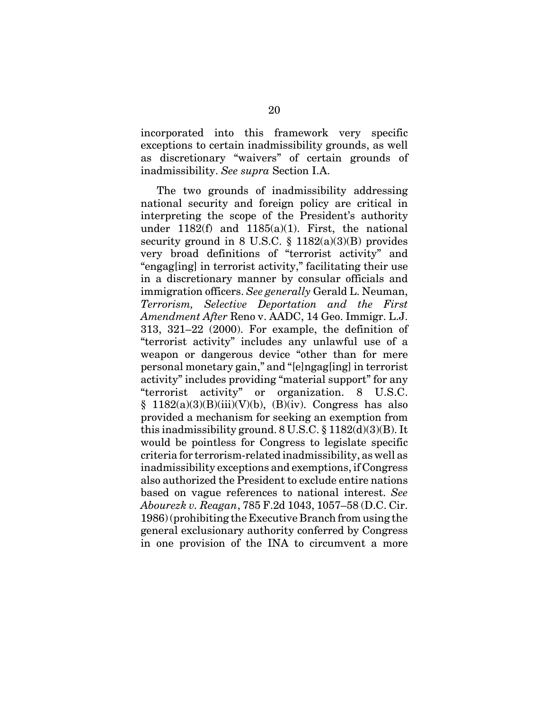incorporated into this framework very specific exceptions to certain inadmissibility grounds, as well as discretionary "waivers" of certain grounds of inadmissibility. *See supra* Section I.A.

The two grounds of inadmissibility addressing national security and foreign policy are critical in interpreting the scope of the President's authority under  $1182(f)$  and  $1185(a)(1)$ . First, the national security ground in 8 U.S.C.  $\S$  1182(a)(3)(B) provides very broad definitions of "terrorist activity" and "engag[ing] in terrorist activity," facilitating their use in a discretionary manner by consular officials and immigration officers. *See generally* Gerald L. Neuman, *Terrorism, Selective Deportation and the First Amendment After* Reno v. AADC, 14 Geo. Immigr. L.J. 313, 321–22 (2000). For example, the definition of "terrorist activity" includes any unlawful use of a weapon or dangerous device "other than for mere personal monetary gain," and "[e]ngag[ing] in terrorist activity" includes providing "material support" for any "terrorist activity" or organization. 8 U.S.C.  $§$  1182(a)(3)(B)(iii)(V)(b), (B)(iv). Congress has also provided a mechanism for seeking an exemption from this inadmissibility ground.  $8 \text{ U.S.C.} \$ § 1182(d)(3)(B). It would be pointless for Congress to legislate specific criteria for terrorism-related inadmissibility, as well as inadmissibility exceptions and exemptions, if Congress also authorized the President to exclude entire nations based on vague references to national interest. *See Abourezk v. Reagan*, 785 F.2d 1043, 1057–58 (D.C. Cir. 1986) (prohibiting the Executive Branch from using the general exclusionary authority conferred by Congress in one provision of the INA to circumvent a more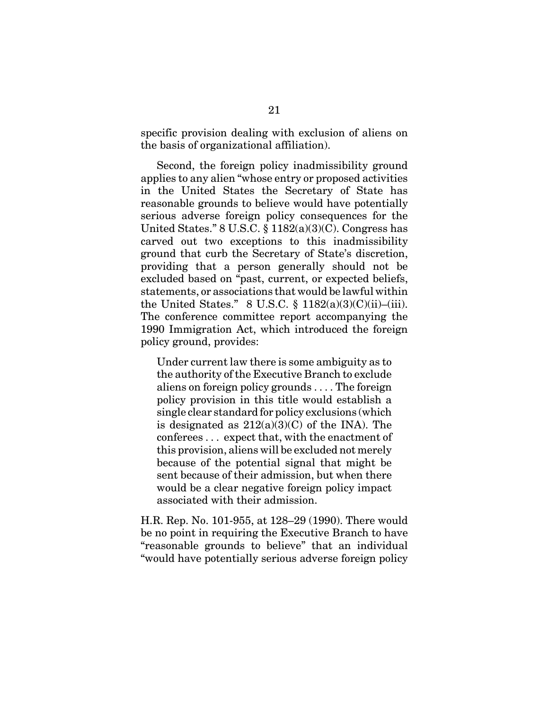specific provision dealing with exclusion of aliens on the basis of organizational affiliation).

Second, the foreign policy inadmissibility ground applies to any alien "whose entry or proposed activities in the United States the Secretary of State has reasonable grounds to believe would have potentially serious adverse foreign policy consequences for the United States."  $8 \text{ U.S.C.} \$  $1182(a)(3)(C)$ . Congress has carved out two exceptions to this inadmissibility ground that curb the Secretary of State's discretion, providing that a person generally should not be excluded based on "past, current, or expected beliefs, statements, or associations that would be lawful within the United States." 8 U.S.C.  $\S$  1182(a)(3)(C)(ii)–(iii). The conference committee report accompanying the 1990 Immigration Act, which introduced the foreign policy ground, provides:

Under current law there is some ambiguity as to the authority of the Executive Branch to exclude aliens on foreign policy grounds . . . . The foreign policy provision in this title would establish a single clear standard for policy exclusions (which is designated as  $212(a)(3)(C)$  of the INA). The conferees . . . expect that, with the enactment of this provision, aliens will be excluded not merely because of the potential signal that might be sent because of their admission, but when there would be a clear negative foreign policy impact associated with their admission.

H.R. Rep. No. 101-955, at 128–29 (1990). There would be no point in requiring the Executive Branch to have "reasonable grounds to believe" that an individual "would have potentially serious adverse foreign policy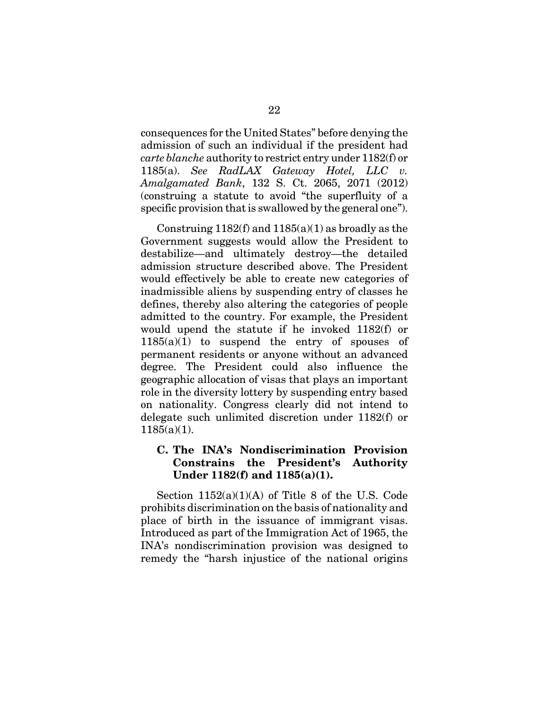consequences for the United States" before denying the admission of such an individual if the president had *carte blanche* authority to restrict entry under 1182(f) or 1185(a). *See RadLAX Gateway Hotel, LLC v. Amalgamated Bank*, 132 S. Ct. 2065, 2071 (2012) (construing a statute to avoid "the superfluity of a specific provision that is swallowed by the general one").

Construing  $1182(f)$  and  $1185(a)(1)$  as broadly as the Government suggests would allow the President to destabilize—and ultimately destroy—the detailed admission structure described above. The President would effectively be able to create new categories of inadmissible aliens by suspending entry of classes he defines, thereby also altering the categories of people admitted to the country. For example, the President would upend the statute if he invoked 1182(f) or 1185(a)(1) to suspend the entry of spouses of permanent residents or anyone without an advanced degree. The President could also influence the geographic allocation of visas that plays an important role in the diversity lottery by suspending entry based on nationality. Congress clearly did not intend to delegate such unlimited discretion under 1182(f) or  $1185(a)(1)$ .

#### **C. The INA's Nondiscrimination Provision Constrains the President's Authority Under 1182(f) and 1185(a)(1).**

Section  $1152(a)(1)(A)$  of Title 8 of the U.S. Code prohibits discrimination on the basis of nationality and place of birth in the issuance of immigrant visas. Introduced as part of the Immigration Act of 1965, the INA's nondiscrimination provision was designed to remedy the "harsh injustice of the national origins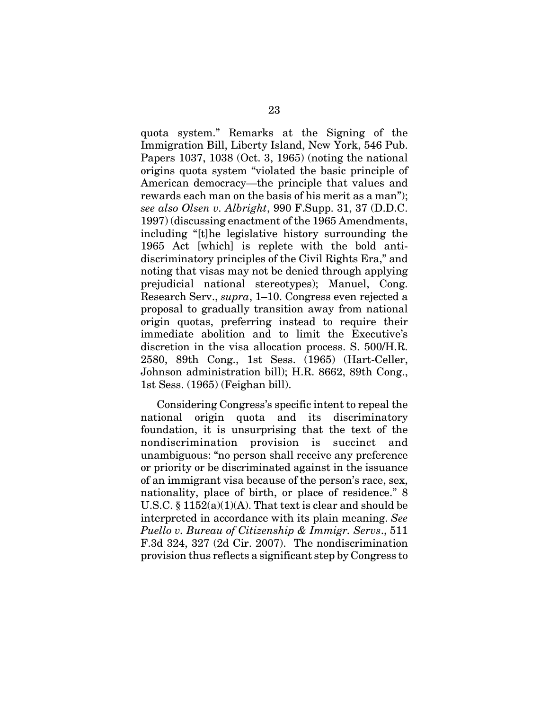quota system." Remarks at the Signing of the Immigration Bill, Liberty Island, New York, 546 Pub. Papers 1037, 1038 (Oct. 3, 1965) (noting the national origins quota system "violated the basic principle of American democracy—the principle that values and rewards each man on the basis of his merit as a man"); *see also Olsen v. Albright*, 990 F.Supp. 31, 37 (D.D.C. 1997) (discussing enactment of the 1965 Amendments, including "[t]he legislative history surrounding the 1965 Act [which] is replete with the bold antidiscriminatory principles of the Civil Rights Era," and noting that visas may not be denied through applying prejudicial national stereotypes); Manuel, Cong. Research Serv., *supra*, 1–10. Congress even rejected a proposal to gradually transition away from national origin quotas, preferring instead to require their immediate abolition and to limit the Executive's discretion in the visa allocation process. S. 500/H.R. 2580, 89th Cong., 1st Sess. (1965) (Hart-Celler, Johnson administration bill); H.R. 8662, 89th Cong., 1st Sess. (1965) (Feighan bill).

Considering Congress's specific intent to repeal the national origin quota and its discriminatory foundation, it is unsurprising that the text of the nondiscrimination provision is succinct and unambiguous: "no person shall receive any preference or priority or be discriminated against in the issuance of an immigrant visa because of the person's race, sex, nationality, place of birth, or place of residence." 8 U.S.C.  $\S 1152(a)(1)(A)$ . That text is clear and should be interpreted in accordance with its plain meaning. *See Puello v. Bureau of Citizenship & Immigr. Servs*., 511 F.3d 324, 327 (2d Cir. 2007). The nondiscrimination provision thus reflects a significant step by Congress to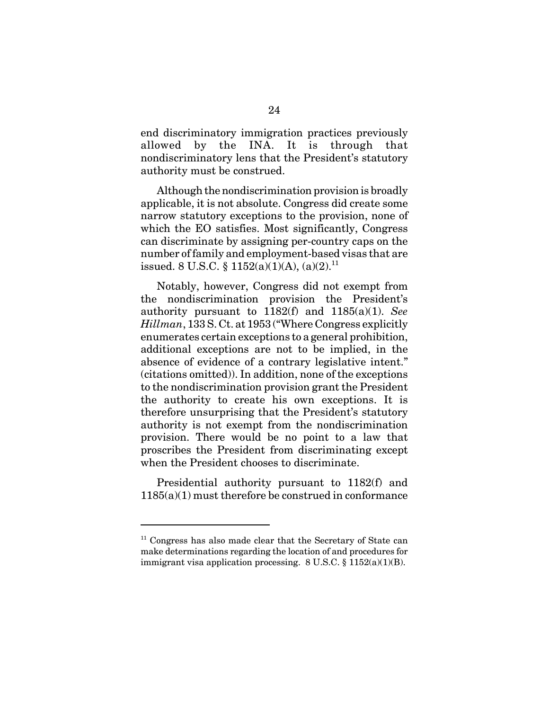end discriminatory immigration practices previously allowed by the INA. It is through that nondiscriminatory lens that the President's statutory authority must be construed.

Although the nondiscrimination provision is broadly applicable, it is not absolute. Congress did create some narrow statutory exceptions to the provision, none of which the EO satisfies. Most significantly, Congress can discriminate by assigning per-country caps on the number of family and employment-based visas that are issued. 8 U.S.C. §  $1152(a)(1)(A)$ ,  $(a)(2)$ .<sup>11</sup>

Notably, however, Congress did not exempt from the nondiscrimination provision the President's authority pursuant to 1182(f) and 1185(a)(1). *See Hillman*, 133 S. Ct. at 1953 ("Where Congress explicitly enumerates certain exceptions to a general prohibition, additional exceptions are not to be implied, in the absence of evidence of a contrary legislative intent." (citations omitted)). In addition, none of the exceptions to the nondiscrimination provision grant the President the authority to create his own exceptions. It is therefore unsurprising that the President's statutory authority is not exempt from the nondiscrimination provision. There would be no point to a law that proscribes the President from discriminating except when the President chooses to discriminate.

Presidential authority pursuant to 1182(f) and 1185(a)(1) must therefore be construed in conformance

 $11$  Congress has also made clear that the Secretary of State can make determinations regarding the location of and procedures for immigrant visa application processing. 8 U.S.C. § 1152(a)(1)(B).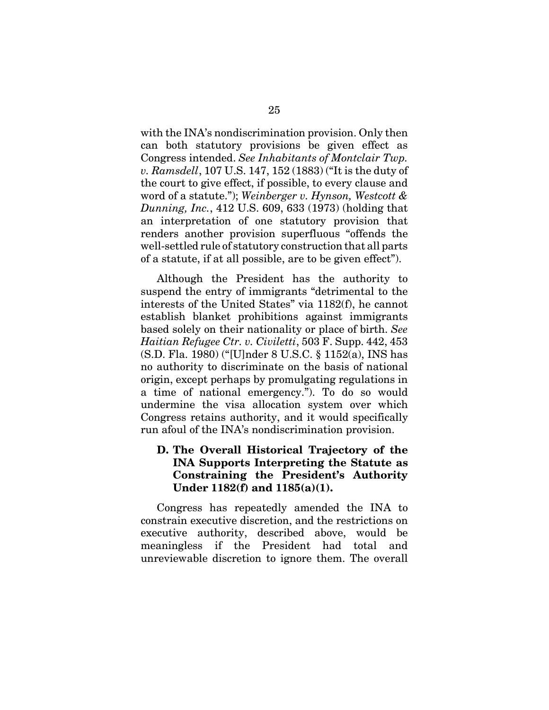with the INA's nondiscrimination provision. Only then can both statutory provisions be given effect as Congress intended. *See Inhabitants of Montclair Twp. v. Ramsdell*, 107 U.S. 147, 152 (1883) ("It is the duty of the court to give effect, if possible, to every clause and word of a statute."); *Weinberger v. Hynson, Westcott & Dunning, Inc.*, 412 U.S. 609, 633 (1973) (holding that an interpretation of one statutory provision that renders another provision superfluous "offends the well-settled rule of statutory construction that all parts of a statute, if at all possible, are to be given effect").

Although the President has the authority to suspend the entry of immigrants "detrimental to the interests of the United States" via 1182(f), he cannot establish blanket prohibitions against immigrants based solely on their nationality or place of birth. *See Haitian Refugee Ctr. v. Civiletti*, 503 F. Supp. 442, 453 (S.D. Fla. 1980) ("[U]nder 8 U.S.C. § 1152(a), INS has no authority to discriminate on the basis of national origin, except perhaps by promulgating regulations in a time of national emergency."). To do so would undermine the visa allocation system over which Congress retains authority, and it would specifically run afoul of the INA's nondiscrimination provision.

### **D. The Overall Historical Trajectory of the INA Supports Interpreting the Statute as Constraining the President's Authority Under 1182(f) and 1185(a)(1).**

Congress has repeatedly amended the INA to constrain executive discretion, and the restrictions on executive authority, described above, would be meaningless if the President had total and unreviewable discretion to ignore them. The overall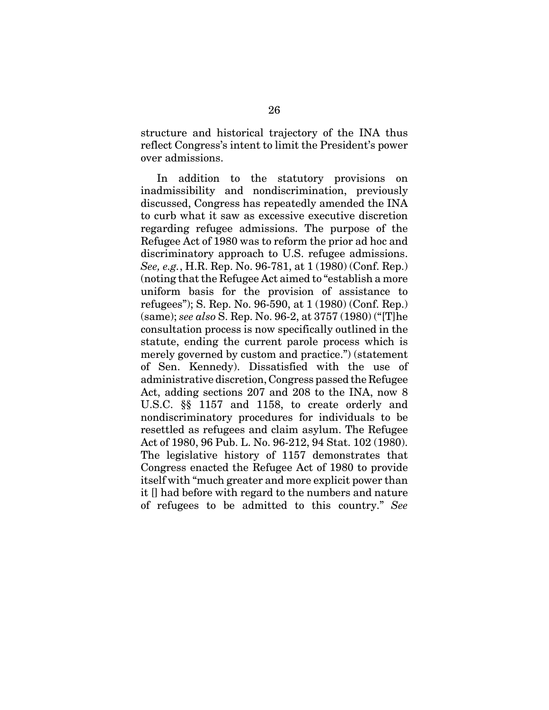structure and historical trajectory of the INA thus reflect Congress's intent to limit the President's power over admissions.

In addition to the statutory provisions on inadmissibility and nondiscrimination, previously discussed, Congress has repeatedly amended the INA to curb what it saw as excessive executive discretion regarding refugee admissions. The purpose of the Refugee Act of 1980 was to reform the prior ad hoc and discriminatory approach to U.S. refugee admissions. *See, e.g.*, H.R. Rep. No. 96-781, at 1 (1980) (Conf. Rep.) (noting that the Refugee Act aimed to "establish a more uniform basis for the provision of assistance to refugees"); S. Rep. No. 96-590, at 1 (1980) (Conf. Rep.) (same); *see also* S. Rep. No. 96-2, at 3757 (1980) ("[T]he consultation process is now specifically outlined in the statute, ending the current parole process which is merely governed by custom and practice.") (statement of Sen. Kennedy). Dissatisfied with the use of administrative discretion, Congress passed the Refugee Act, adding sections 207 and 208 to the INA, now 8 U.S.C. §§ 1157 and 1158, to create orderly and nondiscriminatory procedures for individuals to be resettled as refugees and claim asylum. The Refugee Act of 1980, 96 Pub. L. No. 96-212, 94 Stat. 102 (1980). The legislative history of 1157 demonstrates that Congress enacted the Refugee Act of 1980 to provide itself with "much greater and more explicit power than it [] had before with regard to the numbers and nature of refugees to be admitted to this country." *See*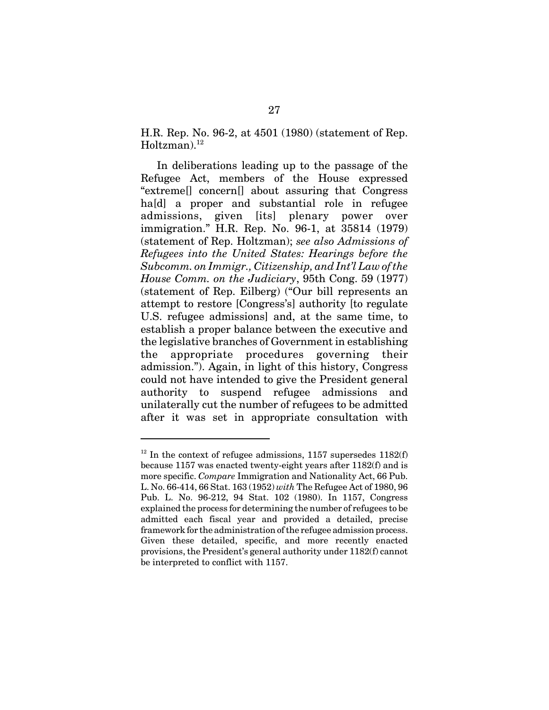H.R. Rep. No. 96-2, at 4501 (1980) (statement of Rep.  $Holtzman.<sup>12</sup>$ 

In deliberations leading up to the passage of the Refugee Act, members of the House expressed "extreme[] concern[] about assuring that Congress hald a proper and substantial role in refugee admissions, given [its] plenary power over immigration." H.R. Rep. No. 96-1, at 35814 (1979) (statement of Rep. Holtzman); *see also Admissions of Refugees into the United States: Hearings before the Subcomm. on Immigr., Citizenship, and Int'l Law of the House Comm. on the Judiciary*, 95th Cong. 59 (1977) (statement of Rep. Eilberg) ("Our bill represents an attempt to restore [Congress's] authority [to regulate U.S. refugee admissions] and, at the same time, to establish a proper balance between the executive and the legislative branches of Government in establishing the appropriate procedures governing their admission."). Again, in light of this history, Congress could not have intended to give the President general authority to suspend refugee admissions and unilaterally cut the number of refugees to be admitted after it was set in appropriate consultation with

 $12$  In the context of refugee admissions, 1157 supersedes 1182(f) because 1157 was enacted twenty-eight years after 1182(f) and is more specific. *Compare* Immigration and Nationality Act, 66 Pub. L. No. 66-414, 66 Stat. 163 (1952) *with* The Refugee Act of 1980, 96 Pub. L. No. 96-212, 94 Stat. 102 (1980). In 1157, Congress explained the process for determining the number of refugees to be admitted each fiscal year and provided a detailed, precise framework for the administration of the refugee admission process. Given these detailed, specific, and more recently enacted provisions, the President's general authority under 1182(f) cannot be interpreted to conflict with 1157.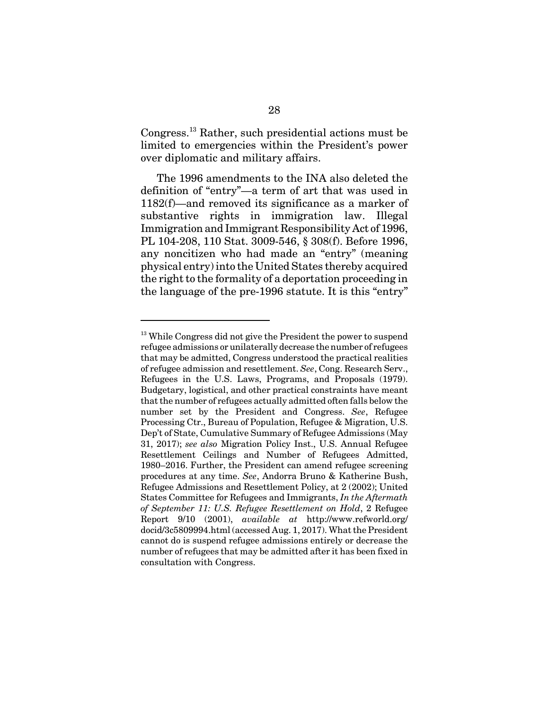Congress.13 Rather, such presidential actions must be limited to emergencies within the President's power over diplomatic and military affairs.

The 1996 amendments to the INA also deleted the definition of "entry"—a term of art that was used in 1182(f)—and removed its significance as a marker of substantive rights in immigration law. Illegal Immigration and Immigrant Responsibility Act of 1996, PL 104-208, 110 Stat. 3009-546, § 308(f). Before 1996, any noncitizen who had made an "entry" (meaning physical entry) into the United States thereby acquired the right to the formality of a deportation proceeding in the language of the pre-1996 statute. It is this "entry"

<sup>&</sup>lt;sup>13</sup> While Congress did not give the President the power to suspend refugee admissions or unilaterally decrease the number of refugees that may be admitted, Congress understood the practical realities of refugee admission and resettlement. *See*, Cong. Research Serv., Refugees in the U.S. Laws, Programs, and Proposals (1979). Budgetary, logistical, and other practical constraints have meant that the number of refugees actually admitted often falls below the number set by the President and Congress. *See*, Refugee Processing Ctr., Bureau of Population, Refugee & Migration, U.S. Dep't of State, Cumulative Summary of Refugee Admissions (May 31, 2017); *see also* Migration Policy Inst., U.S. Annual Refugee Resettlement Ceilings and Number of Refugees Admitted, 1980–2016. Further, the President can amend refugee screening procedures at any time. *See*, Andorra Bruno & Katherine Bush, Refugee Admissions and Resettlement Policy, at 2 (2002); United States Committee for Refugees and Immigrants, *In the Aftermath of September 11: U.S. Refugee Resettlement on Hold*, 2 Refugee Report 9/10 (2001), *available at* http://www.refworld.org/ docid/3c5809994.html (accessed Aug. 1, 2017). What the President cannot do is suspend refugee admissions entirely or decrease the number of refugees that may be admitted after it has been fixed in consultation with Congress.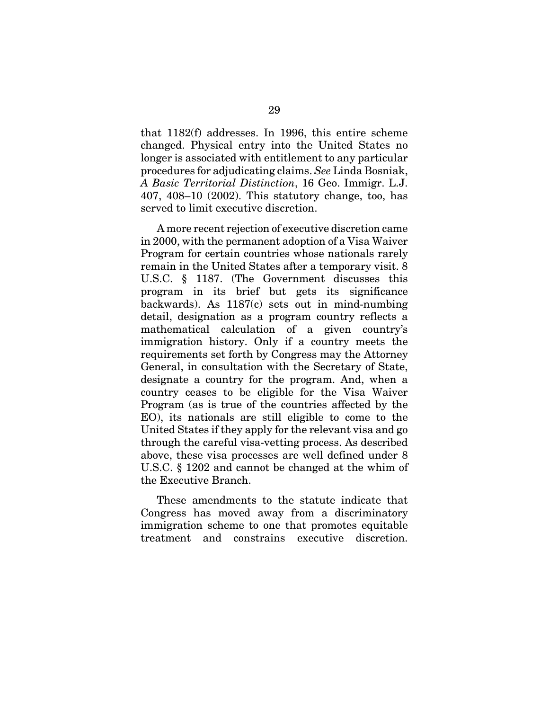that 1182(f) addresses. In 1996, this entire scheme changed. Physical entry into the United States no longer is associated with entitlement to any particular procedures for adjudicating claims. *See* Linda Bosniak, *A Basic Territorial Distinction*, 16 Geo. Immigr. L.J. 407, 408–10 (2002). This statutory change, too, has served to limit executive discretion.

A more recent rejection of executive discretion came in 2000, with the permanent adoption of a Visa Waiver Program for certain countries whose nationals rarely remain in the United States after a temporary visit. 8 U.S.C. § 1187. (The Government discusses this program in its brief but gets its significance backwards). As 1187(c) sets out in mind-numbing detail, designation as a program country reflects a mathematical calculation of a given country's immigration history. Only if a country meets the requirements set forth by Congress may the Attorney General, in consultation with the Secretary of State, designate a country for the program. And, when a country ceases to be eligible for the Visa Waiver Program (as is true of the countries affected by the EO), its nationals are still eligible to come to the United States if they apply for the relevant visa and go through the careful visa-vetting process. As described above, these visa processes are well defined under 8 U.S.C. § 1202 and cannot be changed at the whim of the Executive Branch.

These amendments to the statute indicate that Congress has moved away from a discriminatory immigration scheme to one that promotes equitable treatment and constrains executive discretion.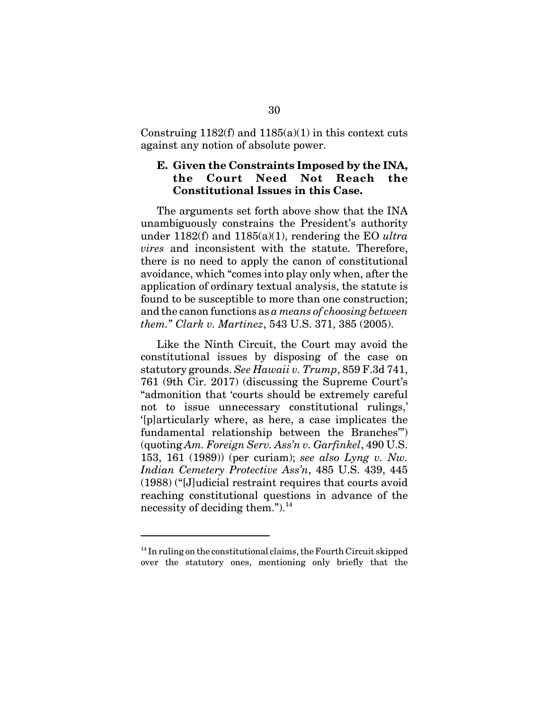Construing 1182(f) and  $1185(a)(1)$  in this context cuts against any notion of absolute power.

#### **E. Given the Constraints Imposed by the INA, the Court Need Not Reach the Constitutional Issues in this Case.**

The arguments set forth above show that the INA unambiguously constrains the President's authority under 1182(f) and 1185(a)(1), rendering the EO *ultra vires* and inconsistent with the statute. Therefore, there is no need to apply the canon of constitutional avoidance, which "comes into play only when, after the application of ordinary textual analysis, the statute is found to be susceptible to more than one construction; and the canon functions as *a means of choosing between them.*" *Clark v. Martinez*, 543 U.S. 371, 385 (2005).

Like the Ninth Circuit, the Court may avoid the constitutional issues by disposing of the case on statutory grounds. *See Hawaii v. Trump*, 859 F.3d 741, 761 (9th Cir. 2017) (discussing the Supreme Court's "admonition that 'courts should be extremely careful not to issue unnecessary constitutional rulings,' '[p]articularly where, as here, a case implicates the fundamental relationship between the Branches'") (quoting *Am. Foreign Serv. Ass'n v. Garfinkel*, 490 U.S. 153, 161 (1989)) (per curiam); *see also Lyng v. Nw. Indian Cemetery Protective Ass'n*, 485 U.S. 439, 445 (1988) ("[J]udicial restraint requires that courts avoid reaching constitutional questions in advance of the necessity of deciding them."). $^{14}$ 

 $14$  In ruling on the constitutional claims, the Fourth Circuit skipped over the statutory ones, mentioning only briefly that the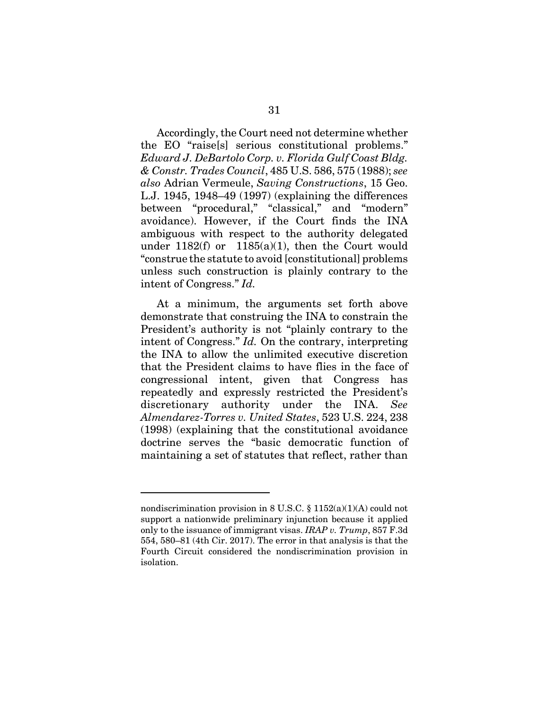Accordingly, the Court need not determine whether the EO "raise[s] serious constitutional problems." *Edward J. DeBartolo Corp. v. Florida Gulf Coast Bldg. & Constr. Trades Council*, 485 U.S. 586, 575 (1988); *see also* Adrian Vermeule, *Saving Constructions*, 15 Geo. L.J. 1945, 1948–49 (1997) (explaining the differences between "procedural," "classical," and "modern" avoidance). However, if the Court finds the INA ambiguous with respect to the authority delegated under  $1182(f)$  or  $1185(a)(1)$ , then the Court would "construe the statute to avoid [constitutional] problems unless such construction is plainly contrary to the intent of Congress." *Id.* 

At a minimum, the arguments set forth above demonstrate that construing the INA to constrain the President's authority is not "plainly contrary to the intent of Congress." *Id.* On the contrary, interpreting the INA to allow the unlimited executive discretion that the President claims to have flies in the face of congressional intent, given that Congress has repeatedly and expressly restricted the President's discretionary authority under the INA. *See Almendarez-Torres v. United States*, 523 U.S. 224, 238 (1998) (explaining that the constitutional avoidance doctrine serves the "basic democratic function of maintaining a set of statutes that reflect, rather than

nondiscrimination provision in 8 U.S.C.  $\S 1152(a)(1)(A)$  could not support a nationwide preliminary injunction because it applied only to the issuance of immigrant visas. *IRAP v. Trump*, 857 F.3d 554, 580–81 (4th Cir. 2017). The error in that analysis is that the Fourth Circuit considered the nondiscrimination provision in isolation.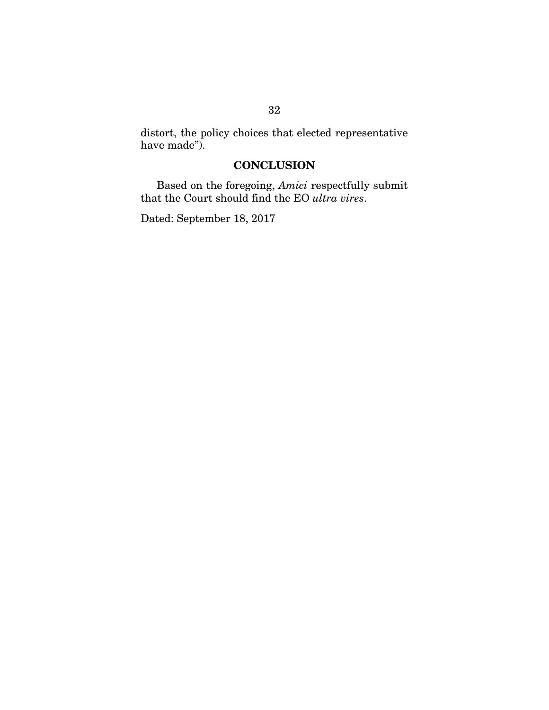distort, the policy choices that elected representative have made").

## **CONCLUSION**

Based on the foregoing, *Amici* respectfully submit that the Court should find the EO *ultra vires*.

Dated: September 18, 2017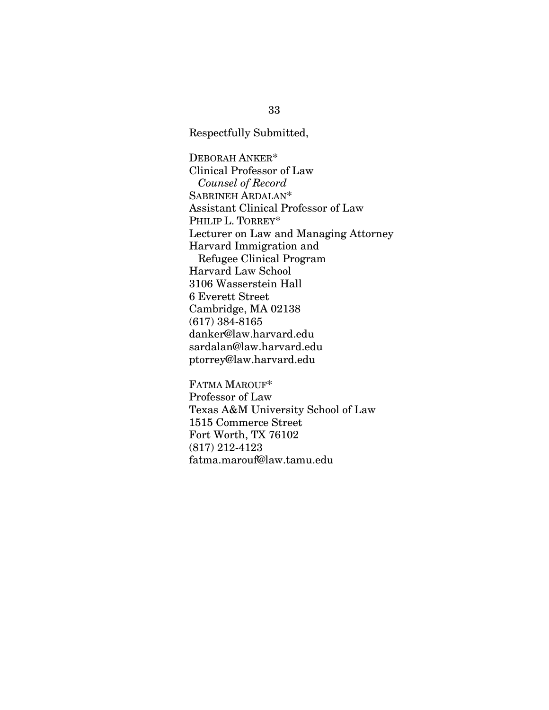Respectfully Submitted,

DEBORAH ANKER\* Clinical Professor of Law  *Counsel of Record* SABRINEH ARDALAN\* Assistant Clinical Professor of Law PHILIP L. TORREY\* Lecturer on Law and Managing Attorney Harvard Immigration and Refugee Clinical Program Harvard Law School 3106 Wasserstein Hall 6 Everett Street Cambridge, MA 02138 (617) 384-8165 danker@law.harvard.edu sardalan@law.harvard.edu ptorrey@law.harvard.edu

FATMA MAROUF\* Professor of Law Texas A&M University School of Law 1515 Commerce Street Fort Worth, TX 76102 (817) 212-4123 fatma.marouf@law.tamu.edu

33